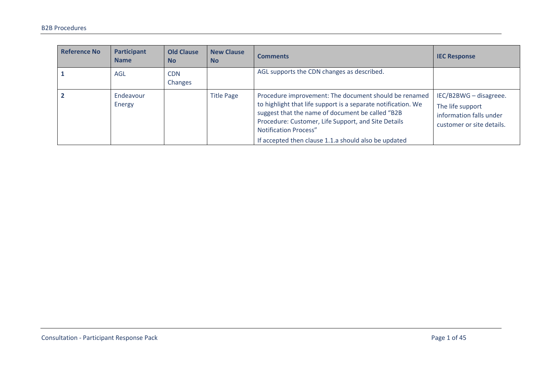| <b>Reference No</b> | <b>Participant</b><br><b>Name</b> | <b>Old Clause</b><br><b>No</b> | <b>New Clause</b><br><b>No</b> | <b>Comments</b>                                                                                                                                                                                                                                                                                                           | <b>IEC Response</b>                                                                                |
|---------------------|-----------------------------------|--------------------------------|--------------------------------|---------------------------------------------------------------------------------------------------------------------------------------------------------------------------------------------------------------------------------------------------------------------------------------------------------------------------|----------------------------------------------------------------------------------------------------|
|                     | AGL                               | <b>CDN</b><br>Changes          |                                | AGL supports the CDN changes as described.                                                                                                                                                                                                                                                                                |                                                                                                    |
|                     | Endeavour<br>Energy               |                                | <b>Title Page</b>              | Procedure improvement: The document should be renamed<br>to highlight that life support is a separate notification. We<br>suggest that the name of document be called "B2B<br>Procedure: Customer, Life Support, and Site Details<br><b>Notification Process"</b><br>If accepted then clause 1.1.a should also be updated | IEC/B2BWG - disagreee.<br>The life support<br>information falls under<br>customer or site details. |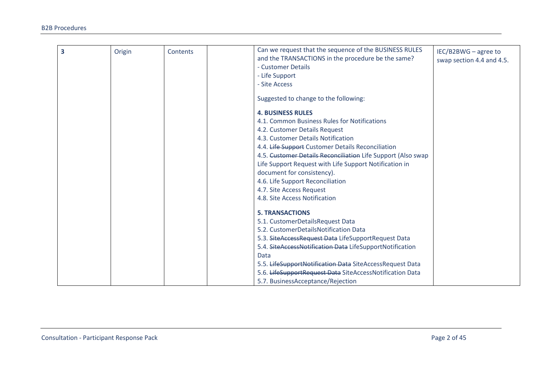| 3 | Origin | Contents | Can we request that the sequence of the BUSINESS RULES       | IEC/B2BWG - agree to      |
|---|--------|----------|--------------------------------------------------------------|---------------------------|
|   |        |          | and the TRANSACTIONS in the procedure be the same?           | swap section 4.4 and 4.5. |
|   |        |          | - Customer Details                                           |                           |
|   |        |          | - Life Support                                               |                           |
|   |        |          | - Site Access                                                |                           |
|   |        |          |                                                              |                           |
|   |        |          | Suggested to change to the following:                        |                           |
|   |        |          | <b>4. BUSINESS RULES</b>                                     |                           |
|   |        |          | 4.1. Common Business Rules for Notifications                 |                           |
|   |        |          | 4.2. Customer Details Request                                |                           |
|   |        |          | 4.3. Customer Details Notification                           |                           |
|   |        |          | 4.4. Life Support Customer Details Reconciliation            |                           |
|   |        |          | 4.5. Customer Details Reconciliation Life Support (Also swap |                           |
|   |        |          | Life Support Request with Life Support Notification in       |                           |
|   |        |          | document for consistency).                                   |                           |
|   |        |          | 4.6. Life Support Reconciliation                             |                           |
|   |        |          | 4.7. Site Access Request                                     |                           |
|   |        |          | 4.8. Site Access Notification                                |                           |
|   |        |          | <b>5. TRANSACTIONS</b>                                       |                           |
|   |        |          | 5.1. CustomerDetailsRequest Data                             |                           |
|   |        |          | 5.2. CustomerDetailsNotification Data                        |                           |
|   |        |          | 5.3. SiteAccessRequest Data LifeSupportRequest Data          |                           |
|   |        |          | 5.4. SiteAccessNotification Data LifeSupportNotification     |                           |
|   |        |          | <b>Data</b>                                                  |                           |
|   |        |          | 5.5. LifeSupportNotification Data SiteAccessRequest Data     |                           |
|   |        |          | 5.6. LifeSupportRequest Data SiteAccessNotification Data     |                           |
|   |        |          | 5.7. BusinessAcceptance/Rejection                            |                           |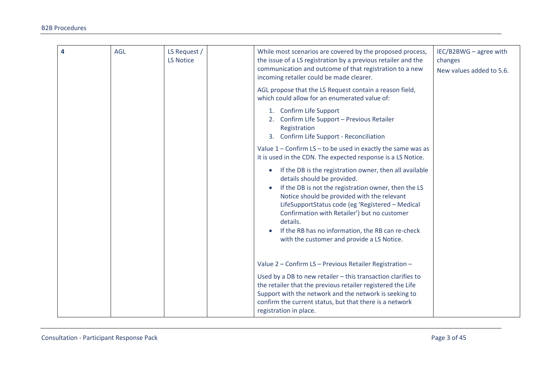| 4 | AGL | LS Request /<br><b>LS Notice</b> | While most scenarios are covered by the proposed process,<br>the issue of a LS registration by a previous retailer and the<br>communication and outcome of that registration to a new<br>incoming retailer could be made clearer.                                                                                                                                                                                             | IEC/B2BWG - agree with<br>changes<br>New values added to 5.6. |
|---|-----|----------------------------------|-------------------------------------------------------------------------------------------------------------------------------------------------------------------------------------------------------------------------------------------------------------------------------------------------------------------------------------------------------------------------------------------------------------------------------|---------------------------------------------------------------|
|   |     |                                  | AGL propose that the LS Request contain a reason field,<br>which could allow for an enumerated value of:                                                                                                                                                                                                                                                                                                                      |                                                               |
|   |     |                                  | 1. Confirm Life Support<br>2. Confirm Life Support - Previous Retailer<br>Registration<br>3. Confirm Life Support - Reconciliation                                                                                                                                                                                                                                                                                            |                                                               |
|   |     |                                  | Value $1$ – Confirm LS – to be used in exactly the same was as<br>it is used in the CDN. The expected response is a LS Notice.                                                                                                                                                                                                                                                                                                |                                                               |
|   |     |                                  | If the DB is the registration owner, then all available<br>$\bullet$<br>details should be provided.<br>If the DB is not the registration owner, then the LS<br>Notice should be provided with the relevant<br>LifeSupportStatus code (eg 'Registered - Medical<br>Confirmation with Retailer') but no customer<br>details.<br>If the RB has no information, the RB can re-check<br>with the customer and provide a LS Notice. |                                                               |
|   |     |                                  | Value 2 - Confirm LS - Previous Retailer Registration -                                                                                                                                                                                                                                                                                                                                                                       |                                                               |
|   |     |                                  | Used by a DB to new retailer - this transaction clarifies to<br>the retailer that the previous retailer registered the Life<br>Support with the network and the network is seeking to<br>confirm the current status, but that there is a network<br>registration in place.                                                                                                                                                    |                                                               |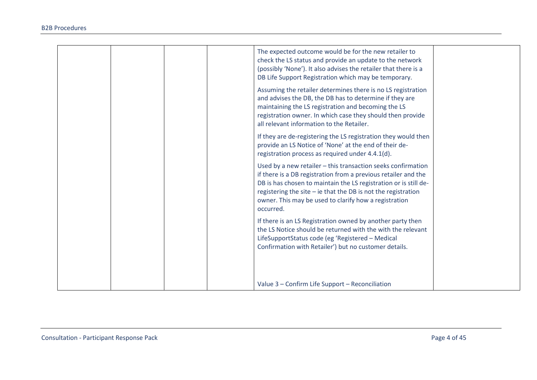|  | The expected outcome would be for the new retailer to<br>check the LS status and provide an update to the network<br>(possibly 'None'). It also advises the retailer that there is a<br>DB Life Support Registration which may be temporary.<br>Assuming the retailer determines there is no LS registration<br>and advises the DB, the DB has to determine if they are<br>maintaining the LS registration and becoming the LS<br>registration owner. In which case they should then provide<br>all relevant information to the Retailer. |  |
|--|-------------------------------------------------------------------------------------------------------------------------------------------------------------------------------------------------------------------------------------------------------------------------------------------------------------------------------------------------------------------------------------------------------------------------------------------------------------------------------------------------------------------------------------------|--|
|  | If they are de-registering the LS registration they would then<br>provide an LS Notice of 'None' at the end of their de-<br>registration process as required under 4.4.1(d).                                                                                                                                                                                                                                                                                                                                                              |  |
|  | Used by a new retailer - this transaction seeks confirmation<br>if there is a DB registration from a previous retailer and the<br>DB is has chosen to maintain the LS registration or is still de-<br>registering the site $-$ ie that the DB is not the registration<br>owner. This may be used to clarify how a registration<br>occurred.                                                                                                                                                                                               |  |
|  | If there is an LS Registration owned by another party then<br>the LS Notice should be returned with the with the relevant<br>LifeSupportStatus code (eg 'Registered - Medical<br>Confirmation with Retailer') but no customer details.                                                                                                                                                                                                                                                                                                    |  |
|  | Value 3 - Confirm Life Support - Reconciliation                                                                                                                                                                                                                                                                                                                                                                                                                                                                                           |  |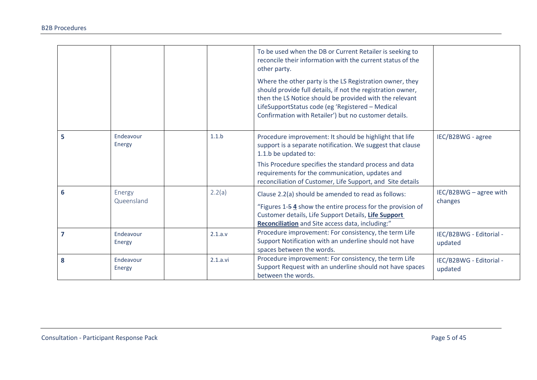|                |                      |                  | To be used when the DB or Current Retailer is seeking to<br>reconcile their information with the current status of the<br>other party.<br>Where the other party is the LS Registration owner, they<br>should provide full details, if not the registration owner,<br>then the LS Notice should be provided with the relevant<br>LifeSupportStatus code (eg 'Registered - Medical |                                    |
|----------------|----------------------|------------------|----------------------------------------------------------------------------------------------------------------------------------------------------------------------------------------------------------------------------------------------------------------------------------------------------------------------------------------------------------------------------------|------------------------------------|
|                |                      |                  | Confirmation with Retailer') but no customer details.                                                                                                                                                                                                                                                                                                                            |                                    |
| 5              | Endeavour<br>Energy  | 1.1 <sub>b</sub> | Procedure improvement: It should be highlight that life<br>support is a separate notification. We suggest that clause<br>1.1.b be updated to:                                                                                                                                                                                                                                    | IEC/B2BWG - agree                  |
|                |                      |                  | This Procedure specifies the standard process and data<br>requirements for the communication, updates and<br>reconciliation of Customer, Life Support, and Site details                                                                                                                                                                                                          |                                    |
| 6              | Energy<br>Queensland | 2.2(a)           | Clause 2.2(a) should be amended to read as follows:<br>"Figures 1-54 show the entire process for the provision of<br>Customer details, Life Support Details, Life Support<br>Reconciliation and Site access data, including:"                                                                                                                                                    | IEC/B2BWG - agree with<br>changes  |
| $\overline{7}$ | Endeavour<br>Energy  | 2.1.a.v          | Procedure improvement: For consistency, the term Life<br>Support Notification with an underline should not have<br>spaces between the words.                                                                                                                                                                                                                                     | IEC/B2BWG - Editorial -<br>updated |
| 8              | Endeavour<br>Energy  | 2.1.a.vi         | Procedure improvement: For consistency, the term Life<br>Support Request with an underline should not have spaces<br>between the words.                                                                                                                                                                                                                                          | IEC/B2BWG - Editorial -<br>updated |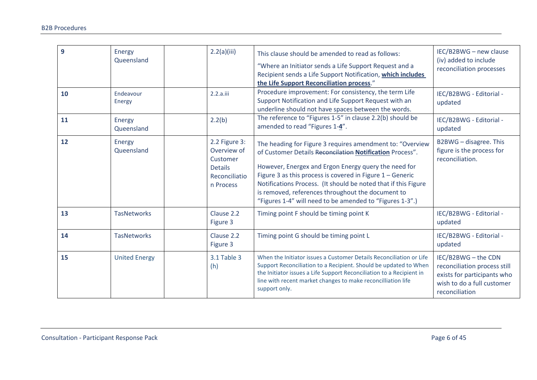| 9  | Energy<br>Queensland | 2.2(a)(iii)                                                                              | This clause should be amended to read as follows:<br>"Where an Initiator sends a Life Support Request and a<br>Recipient sends a Life Support Notification, which includes<br>the Life Support Reconciliation process."                                                                                                                                                                                                         | IEC/B2BWG - new clause<br>(iv) added to include<br>reconciliation processes                                                        |
|----|----------------------|------------------------------------------------------------------------------------------|---------------------------------------------------------------------------------------------------------------------------------------------------------------------------------------------------------------------------------------------------------------------------------------------------------------------------------------------------------------------------------------------------------------------------------|------------------------------------------------------------------------------------------------------------------------------------|
| 10 | Endeavour<br>Energy  | 2.2.a.iii                                                                                | Procedure improvement: For consistency, the term Life<br>Support Notification and Life Support Request with an<br>underline should not have spaces between the words.                                                                                                                                                                                                                                                           | IEC/B2BWG - Editorial -<br>updated                                                                                                 |
| 11 | Energy<br>Queensland | 2.2(b)                                                                                   | The reference to "Figures 1-5" in clause 2.2(b) should be<br>amended to read "Figures 1-4".                                                                                                                                                                                                                                                                                                                                     | IEC/B2BWG - Editorial -<br>updated                                                                                                 |
| 12 | Energy<br>Queensland | 2.2 Figure 3:<br>Overview of<br>Customer<br><b>Details</b><br>Reconciliatio<br>n Process | The heading for Figure 3 requires amendment to: "Overview<br>of Customer Details Reconcilation Notification Process".<br>However, Energex and Ergon Energy query the need for<br>Figure 3 as this process is covered in Figure $1 -$ Generic<br>Notifications Process. (It should be noted that if this Figure<br>is removed, references throughout the document to<br>"Figures 1-4" will need to be amended to "Figures 1-3".) | B2BWG - disagree. This<br>figure is the process for<br>reconciliation.                                                             |
| 13 | <b>TasNetworks</b>   | Clause 2.2<br>Figure 3                                                                   | Timing point F should be timing point K                                                                                                                                                                                                                                                                                                                                                                                         | IEC/B2BWG - Editorial -<br>updated                                                                                                 |
| 14 | <b>TasNetworks</b>   | Clause 2.2<br>Figure 3                                                                   | Timing point G should be timing point L                                                                                                                                                                                                                                                                                                                                                                                         | IEC/B2BWG - Editorial -<br>updated                                                                                                 |
| 15 | <b>United Energy</b> | 3.1 Table 3<br>(h)                                                                       | When the Initiator issues a Customer Details Reconciliation or Life<br>Support Reconciliation to a Recipient. Should be updated to When<br>the Initiator issues a Life Support Reconciliation to a Recipient in<br>line with recent market changes to make reconcilliation life<br>support only.                                                                                                                                | IEC/B2BWG - the CDN<br>reconciliation process still<br>exists for participants who<br>wish to do a full customer<br>reconciliation |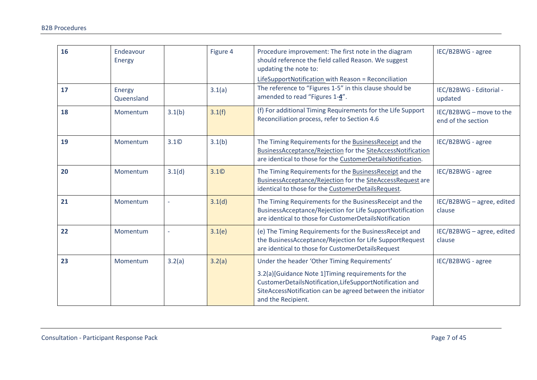| 16 | Endeavour<br>Energy  |                  | Figure 4         | Procedure improvement: The first note in the diagram<br>should reference the field called Reason. We suggest<br>updating the note to:<br>LifeSupportNotification with Reason = Reconciliation                                                     | IEC/B2BWG - agree                             |
|----|----------------------|------------------|------------------|---------------------------------------------------------------------------------------------------------------------------------------------------------------------------------------------------------------------------------------------------|-----------------------------------------------|
| 17 | Energy<br>Queensland |                  | 3.1(a)           | The reference to "Figures 1-5" in this clause should be<br>amended to read "Figures 1-4".                                                                                                                                                         | IEC/B2BWG - Editorial -<br>updated            |
| 18 | Momentum             | 3.1(b)           | 3.1(f)           | (f) For additional Timing Requirements for the Life Support<br>Reconciliation process, refer to Section 4.6                                                                                                                                       | IEC/B2BWG - move to the<br>end of the section |
| 19 | Momentum             | 3.1 <sup>°</sup> | 3.1(b)           | The Timing Requirements for the BusinessReceipt and the<br>BusinessAcceptance/Rejection for the SiteAccessNotification<br>are identical to those for the CustomerDetailsNotification.                                                             | IEC/B2BWG - agree                             |
| 20 | Momentum             | 3.1(d)           | 3.1 <sup>°</sup> | The Timing Requirements for the BusinessReceipt and the<br>BusinessAcceptance/Rejection for the SiteAccessRequest are<br>identical to those for the CustomerDetailsRequest.                                                                       | IEC/B2BWG - agree                             |
| 21 | Momentum             |                  | 3.1(d)           | The Timing Requirements for the BusinessReceipt and the<br>BusinessAcceptance/Rejection for Life SupportNotification<br>are identical to those for CustomerDetailsNotification                                                                    | IEC/B2BWG - agree, edited<br>clause           |
| 22 | Momentum             |                  | 3.1(e)           | (e) The Timing Requirements for the BusinessReceipt and<br>the BusinessAcceptance/Rejection for Life SupportRequest<br>are identical to those for CustomerDetailsRequest                                                                          | IEC/B2BWG - agree, edited<br>clause           |
| 23 | Momentum             | 3.2(a)           | 3.2(a)           | Under the header 'Other Timing Requirements'<br>3.2(a)[Guidance Note 1]Timing requirements for the<br>CustomerDetailsNotification,LifeSupportNotification and<br>SiteAccessNotification can be agreed between the initiator<br>and the Recipient. | IEC/B2BWG - agree                             |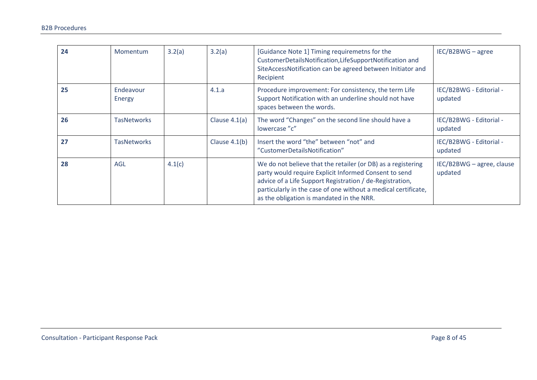| 24 | Momentum            | 3.2(a) | 3.2(a)          | [Guidance Note 1] Timing requiremetns for the<br>CustomerDetailsNotification,LifeSupportNotification and<br>SiteAccessNotification can be agreed between Initiator and<br>Recipient                                                                                                              | IEC/B2BWG - agree                    |
|----|---------------------|--------|-----------------|--------------------------------------------------------------------------------------------------------------------------------------------------------------------------------------------------------------------------------------------------------------------------------------------------|--------------------------------------|
| 25 | Endeavour<br>Energy |        | 4.1.a           | Procedure improvement: For consistency, the term Life<br>Support Notification with an underline should not have<br>spaces between the words.                                                                                                                                                     | IEC/B2BWG - Editorial -<br>updated   |
| 26 | <b>TasNetworks</b>  |        | Clause $4.1(a)$ | The word "Changes" on the second line should have a<br>lowercase "c"                                                                                                                                                                                                                             | IEC/B2BWG - Editorial -<br>updated   |
| 27 | <b>TasNetworks</b>  |        | Clause $4.1(b)$ | Insert the word "the" between "not" and<br>"CustomerDetailsNotification"                                                                                                                                                                                                                         | IEC/B2BWG - Editorial -<br>updated   |
| 28 | <b>AGL</b>          | 4.1(c) |                 | We do not believe that the retailer (or DB) as a registering<br>party would require Explicit Informed Consent to send<br>advice of a Life Support Registration / de-Registration,<br>particularly in the case of one without a medical certificate,<br>as the obligation is mandated in the NRR. | IEC/B2BWG - agree, clause<br>updated |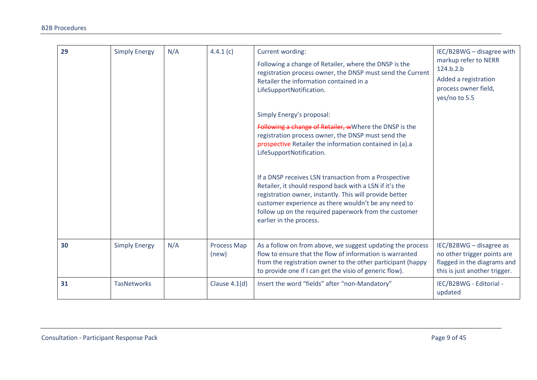| 29 | <b>Simply Energy</b> | N/A | 4.4.1(c)                    | Current wording:<br>Following a change of Retailer, where the DNSP is the<br>registration process owner, the DNSP must send the Current<br>Retailer the information contained in a<br>LifeSupportNotification.<br>Simply Energy's proposal:<br>Following a change of Retailer, wWhere the DNSP is the<br>registration process owner, the DNSP must send the<br>prospective Retailer the information contained in (a).a<br>LifeSupportNotification.<br>If a DNSP receives LSN transaction from a Prospective<br>Retailer, it should respond back with a LSN if it's the<br>registration owner, instantly. This will provide better<br>customer experience as there wouldn't be any need to<br>follow up on the required paperwork from the customer<br>earlier in the process. | IEC/B2BWG - disagree with<br>markup refer to NERR<br>124.b.2.b<br>Added a registration<br>process owner field,<br>yes/no to 5.5 |
|----|----------------------|-----|-----------------------------|-------------------------------------------------------------------------------------------------------------------------------------------------------------------------------------------------------------------------------------------------------------------------------------------------------------------------------------------------------------------------------------------------------------------------------------------------------------------------------------------------------------------------------------------------------------------------------------------------------------------------------------------------------------------------------------------------------------------------------------------------------------------------------|---------------------------------------------------------------------------------------------------------------------------------|
| 30 | <b>Simply Energy</b> | N/A | <b>Process Map</b><br>(new) | As a follow on from above, we suggest updating the process<br>flow to ensure that the flow of information is warranted<br>from the registration owner to the other participant (happy<br>to provide one if I can get the visio of generic flow).                                                                                                                                                                                                                                                                                                                                                                                                                                                                                                                              | IEC/B2BWG - disagree as<br>no other trigger points are<br>flagged in the diagrams and<br>this is just another trigger.          |
| 31 | <b>TasNetworks</b>   |     | Clause $4.1(d)$             | Insert the word "fields" after "non-Mandatory"                                                                                                                                                                                                                                                                                                                                                                                                                                                                                                                                                                                                                                                                                                                                | IEC/B2BWG - Editorial -<br>updated                                                                                              |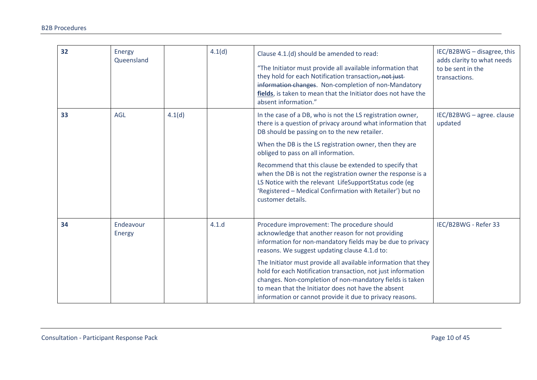| 32 | <b>Energy</b><br>Queensland |        | 4.1(d) | Clause 4.1.(d) should be amended to read:<br>"The Initiator must provide all available information that<br>they hold for each Notification transaction, not just-<br>information changes. Non-completion of non-Mandatory<br>fields, is taken to mean that the Initiator does not have the<br>absent information."                                                                                                                                                                                                                               | IEC/B2BWG - disagree, this<br>adds clarity to what needs<br>to be sent in the<br>transactions. |
|----|-----------------------------|--------|--------|--------------------------------------------------------------------------------------------------------------------------------------------------------------------------------------------------------------------------------------------------------------------------------------------------------------------------------------------------------------------------------------------------------------------------------------------------------------------------------------------------------------------------------------------------|------------------------------------------------------------------------------------------------|
| 33 | <b>AGL</b>                  | 4.1(d) |        | In the case of a DB, who is not the LS registration owner,<br>there is a question of privacy around what information that<br>DB should be passing on to the new retailer.<br>When the DB is the LS registration owner, then they are<br>obliged to pass on all information.<br>Recommend that this clause be extended to specify that<br>when the DB is not the registration owner the response is a<br>LS Notice with the relevant LifeSupportStatus code (eg<br>'Registered - Medical Confirmation with Retailer') but no<br>customer details. | IEC/B2BWG - agree. clause<br>updated                                                           |
| 34 | Endeavour<br>Energy         |        | 4.1.d  | Procedure improvement: The procedure should<br>acknowledge that another reason for not providing<br>information for non-mandatory fields may be due to privacy<br>reasons. We suggest updating clause 4.1.d to:<br>The Initiator must provide all available information that they<br>hold for each Notification transaction, not just information<br>changes. Non-completion of non-mandatory fields is taken<br>to mean that the Initiator does not have the absent<br>information or cannot provide it due to privacy reasons.                 | IEC/B2BWG - Refer 33                                                                           |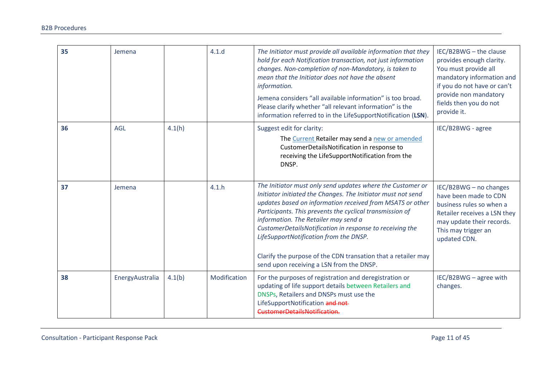| 35 | Jemena          |        | 4.1.d        | The Initiator must provide all available information that they<br>hold for each Notification transaction, not just information<br>changes. Non-completion of non-Mandatory, is taken to<br>mean that the Initiator does not have the absent<br>information.<br>Jemena considers "all available information" is too broad.<br>Please clarify whether "all relevant information" is the<br>information referred to in the LifeSupportNotification (LSN).                                                         | IEC/B2BWG - the clause<br>provides enough clarity.<br>You must provide all<br>mandatory information and<br>if you do not have or can't<br>provide non mandatory<br>fields then you do not<br>provide it. |
|----|-----------------|--------|--------------|----------------------------------------------------------------------------------------------------------------------------------------------------------------------------------------------------------------------------------------------------------------------------------------------------------------------------------------------------------------------------------------------------------------------------------------------------------------------------------------------------------------|----------------------------------------------------------------------------------------------------------------------------------------------------------------------------------------------------------|
| 36 | <b>AGL</b>      | 4.1(h) |              | Suggest edit for clarity:<br>The Current Retailer may send a new or amended<br>CustomerDetailsNotification in response to<br>receiving the LifeSupportNotification from the<br>DNSP.                                                                                                                                                                                                                                                                                                                           | IEC/B2BWG - agree                                                                                                                                                                                        |
| 37 | Jemena          |        | 4.1.h        | The Initiator must only send updates where the Customer or<br>Initiator initiated the Changes. The Initiator must not send<br>updates based on information received from MSATS or other<br>Participants. This prevents the cyclical transmission of<br>information. The Retailer may send a<br>CustomerDetailsNotification in response to receiving the<br>LifeSupportNotification from the DNSP.<br>Clarify the purpose of the CDN transation that a retailer may<br>send upon receiving a LSN from the DNSP. | IEC/B2BWG - no changes<br>have been made to CDN<br>business rules so when a<br>Retailer receives a LSN they<br>may update their records.<br>This may trigger an<br>updated CDN.                          |
| 38 | EnergyAustralia | 4.1(b) | Modification | For the purposes of registration and deregistration or<br>updating of life support details between Retailers and<br>DNSPs, Retailers and DNSPs must use the<br>LifeSupportNotification and not-<br>CustomerDetailsNotification.                                                                                                                                                                                                                                                                                | IEC/B2BWG - agree with<br>changes.                                                                                                                                                                       |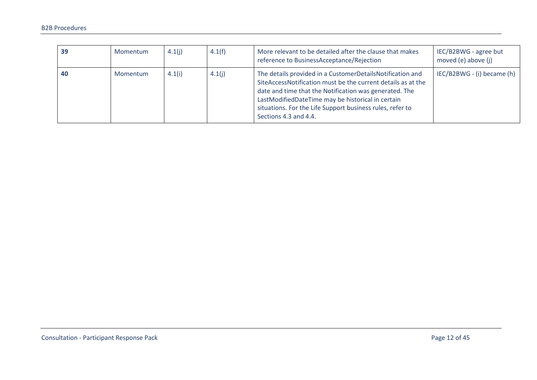| 39 | Momentum | 4.1(i) | 4.1(f) | More relevant to be detailed after the clause that makes<br>reference to BusinessAcceptance/Rejection                                                                                                                                                                                                                          | IEC/B2BWG - agree but<br>moved (e) above (j) |
|----|----------|--------|--------|--------------------------------------------------------------------------------------------------------------------------------------------------------------------------------------------------------------------------------------------------------------------------------------------------------------------------------|----------------------------------------------|
| 40 | Momentum | 4.1(i) | 4.1(j) | The details provided in a CustomerDetailsNotification and<br>SiteAccessNotification must be the current details as at the<br>date and time that the Notification was generated. The<br>LastModifiedDateTime may be historical in certain<br>situations. For the Life Support business rules, refer to<br>Sections 4.3 and 4.4. | IEC/B2BWG - (i) became (h)                   |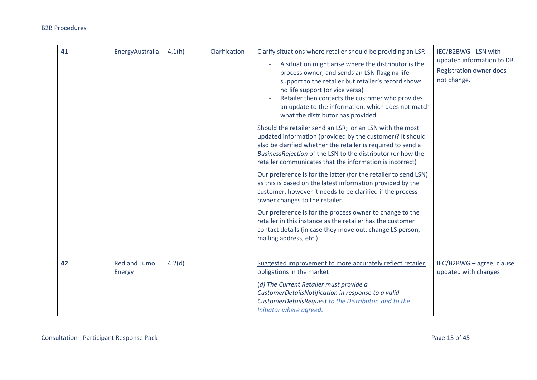| 41 | EnergyAustralia        | 4.1(h) | Clarification | Clarify situations where retailer should be providing an LSR<br>A situation might arise where the distributor is the<br>process owner, and sends an LSN flagging life<br>support to the retailer but retailer's record shows<br>no life support (or vice versa)<br>Retailer then contacts the customer who provides<br>an update to the information, which does not match<br>what the distributor has provided<br>Should the retailer send an LSR; or an LSN with the most<br>updated information (provided by the customer)? It should<br>also be clarified whether the retailer is required to send a<br>BusinessRejection of the LSN to the distributor (or how the<br>retailer communicates that the information is incorrect)<br>Our preference is for the latter (for the retailer to send LSN)<br>as this is based on the latest information provided by the<br>customer, however it needs to be clarified if the process<br>owner changes to the retailer.<br>Our preference is for the process owner to change to the<br>retailer in this instance as the retailer has the customer<br>contact details (in case they move out, change LS person,<br>mailing address, etc.) | IEC/B2BWG - LSN with<br>updated information to DB.<br>Registration owner does<br>not change. |
|----|------------------------|--------|---------------|-------------------------------------------------------------------------------------------------------------------------------------------------------------------------------------------------------------------------------------------------------------------------------------------------------------------------------------------------------------------------------------------------------------------------------------------------------------------------------------------------------------------------------------------------------------------------------------------------------------------------------------------------------------------------------------------------------------------------------------------------------------------------------------------------------------------------------------------------------------------------------------------------------------------------------------------------------------------------------------------------------------------------------------------------------------------------------------------------------------------------------------------------------------------------------------|----------------------------------------------------------------------------------------------|
| 42 | Red and Lumo<br>Energy | 4.2(d) |               | Suggested improvement to more accurately reflect retailer<br>obligations in the market<br>(d) The Current Retailer must provide a<br>CustomerDetailsNotification in response to a valid<br>CustomerDetailsRequest to the Distributor, and to the<br>Initiator where agreed.                                                                                                                                                                                                                                                                                                                                                                                                                                                                                                                                                                                                                                                                                                                                                                                                                                                                                                         | IEC/B2BWG - agree, clause<br>updated with changes                                            |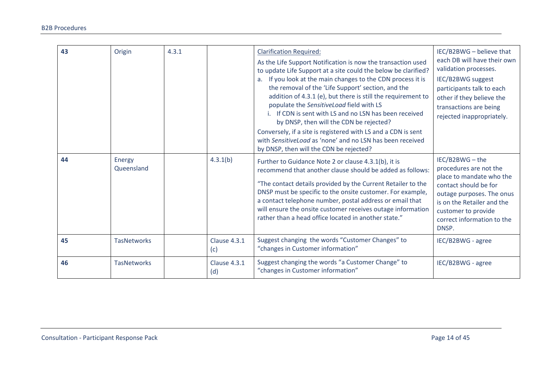| 43 | Origin               | 4.3.1 |                     | <b>Clarification Required:</b><br>As the Life Support Notification is now the transaction used<br>to update Life Support at a site could the below be clarified?<br>a. If you look at the main changes to the CDN process it is<br>the removal of the 'Life Support' section, and the<br>addition of 4.3.1 (e), but there is still the requirement to<br>populate the SensitiveLoad field with LS<br>i. If CDN is sent with LS and no LSN has been received<br>by DNSP, then will the CDN be rejected?<br>Conversely, if a site is registered with LS and a CDN is sent<br>with Sensitive Load as 'none' and no LSN has been received<br>by DNSP, then will the CDN be rejected? | IEC/B2BWG - believe that<br>each DB will have their own<br>validation processes.<br>IEC/B2BWG suggest<br>participants talk to each<br>other if they believe the<br>transactions are being<br>rejected inappropriately. |
|----|----------------------|-------|---------------------|----------------------------------------------------------------------------------------------------------------------------------------------------------------------------------------------------------------------------------------------------------------------------------------------------------------------------------------------------------------------------------------------------------------------------------------------------------------------------------------------------------------------------------------------------------------------------------------------------------------------------------------------------------------------------------|------------------------------------------------------------------------------------------------------------------------------------------------------------------------------------------------------------------------|
| 44 | Energy<br>Queensland |       | 4.3.1(b)            | Further to Guidance Note 2 or clause 4.3.1(b), it is<br>recommend that another clause should be added as follows:<br>"The contact details provided by the Current Retailer to the<br>DNSP must be specific to the onsite customer. For example,<br>a contact telephone number, postal address or email that<br>will ensure the onsite customer receives outage information<br>rather than a head office located in another state."                                                                                                                                                                                                                                               | IEC/B2BWG-the<br>procedures are not the<br>place to mandate who the<br>contact should be for<br>outage purposes. The onus<br>is on the Retailer and the<br>customer to provide<br>correct information to the<br>DNSP.  |
| 45 | <b>TasNetworks</b>   |       | Clause 4.3.1<br>(c) | Suggest changing the words "Customer Changes" to<br>"changes in Customer information"                                                                                                                                                                                                                                                                                                                                                                                                                                                                                                                                                                                            | IEC/B2BWG - agree                                                                                                                                                                                                      |
| 46 | <b>TasNetworks</b>   |       | Clause 4.3.1<br>(d) | Suggest changing the words "a Customer Change" to<br>"changes in Customer information"                                                                                                                                                                                                                                                                                                                                                                                                                                                                                                                                                                                           | IEC/B2BWG - agree                                                                                                                                                                                                      |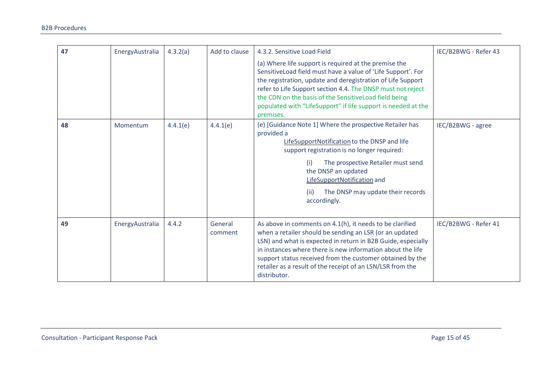| 47 | EnergyAustralia | 4.3.2(a) | Add to clause      | 4.3.2. Sensitive Load Field<br>(a) Where life support is required at the premise the<br>SensitiveLoad field must have a value of 'Life Support'. For<br>the registration, update and deregistration of Life Support<br>refer to Life Support section 4.4. The DNSP must not reject<br>the CDN on the basis of the SensitiveLoad field being<br>populated with "LifeSupport" if life support is needed at the<br>premises. | IEC/B2BWG - Refer 43 |
|----|-----------------|----------|--------------------|---------------------------------------------------------------------------------------------------------------------------------------------------------------------------------------------------------------------------------------------------------------------------------------------------------------------------------------------------------------------------------------------------------------------------|----------------------|
| 48 | Momentum        | 4.4.1(e) | 4.4.1(e)           | (e) [Guidance Note 1] Where the prospective Retailer has<br>provided a<br>LifeSupportNotification to the DNSP and life<br>support registration is no longer required:<br>The prospective Retailer must send<br>(i)<br>the DNSP an updated<br>LifeSupportNotification and<br>The DNSP may update their records<br>(ii)<br>accordingly.                                                                                     | IEC/B2BWG - agree    |
| 49 | EnergyAustralia | 4.4.2    | General<br>comment | As above in comments on 4.1(h), it needs to be clarified<br>when a retailer should be sending an LSR (or an updated<br>LSN) and what is expected in return in B2B Guide, especially<br>in instances where there is new information about the life<br>support status received from the customer obtained by the<br>retailer as a result of the receipt of an LSN/LSR from the<br>distributor.                              | IEC/B2BWG - Refer 41 |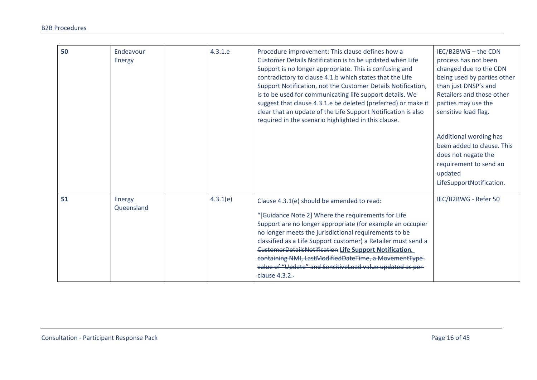| 50 | Endeavour<br>Energy  | 4.3.1.e  | Procedure improvement: This clause defines how a<br>Customer Details Notification is to be updated when Life<br>Support is no longer appropriate. This is confusing and<br>contradictory to clause 4.1.b which states that the Life<br>Support Notification, not the Customer Details Notification,<br>is to be used for communicating life support details. We<br>suggest that clause 4.3.1.e be deleted (preferred) or make it<br>clear that an update of the Life Support Notification is also<br>required in the scenario highlighted in this clause. | IEC/B2BWG - the CDN<br>process has not been<br>changed due to the CDN<br>being used by parties other<br>than just DNSP's and<br>Retailers and those other<br>parties may use the<br>sensitive load flag. |
|----|----------------------|----------|-----------------------------------------------------------------------------------------------------------------------------------------------------------------------------------------------------------------------------------------------------------------------------------------------------------------------------------------------------------------------------------------------------------------------------------------------------------------------------------------------------------------------------------------------------------|----------------------------------------------------------------------------------------------------------------------------------------------------------------------------------------------------------|
|    |                      |          |                                                                                                                                                                                                                                                                                                                                                                                                                                                                                                                                                           | Additional wording has<br>been added to clause. This<br>does not negate the<br>requirement to send an<br>updated<br>LifeSupportNotification.                                                             |
| 51 | Energy<br>Queensland | 4.3.1(e) | Clause 4.3.1(e) should be amended to read:<br>"[Guidance Note 2] Where the requirements for Life<br>Support are no longer appropriate (for example an occupier<br>no longer meets the jurisdictional requirements to be<br>classified as a Life Support customer) a Retailer must send a<br><b>CustomerDetailsNotification Life Support Notification.</b><br>containing NMI, LastModifiedDateTime, a MovementType-<br>value of "Update" and SensitiveLoad value updated as per-<br>clause 4.3.2.                                                          | IEC/B2BWG - Refer 50                                                                                                                                                                                     |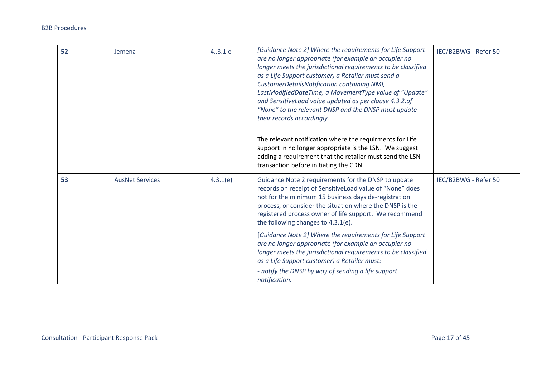| 52 | Jemena                 | 4.3.1.e  | [Guidance Note 2] Where the requirements for Life Support<br>are no longer appropriate (for example an occupier no<br>longer meets the jurisdictional requirements to be classified<br>as a Life Support customer) a Retailer must send a<br>CustomerDetailsNotification containing NMI,<br>LastModifiedDateTime, a MovementType value of "Update"<br>and SensitiveLoad value updated as per clause 4.3.2.of<br>"None" to the relevant DNSP and the DNSP must update<br>their records accordingly.<br>The relevant notification where the requirments for Life<br>support in no longer appropriate is the LSN. We suggest<br>adding a requirement that the retailer must send the LSN<br>transaction before initiating the CDN. | IEC/B2BWG - Refer 50 |
|----|------------------------|----------|---------------------------------------------------------------------------------------------------------------------------------------------------------------------------------------------------------------------------------------------------------------------------------------------------------------------------------------------------------------------------------------------------------------------------------------------------------------------------------------------------------------------------------------------------------------------------------------------------------------------------------------------------------------------------------------------------------------------------------|----------------------|
| 53 | <b>AusNet Services</b> | 4.3.1(e) | Guidance Note 2 requirements for the DNSP to update<br>records on receipt of SensitiveLoad value of "None" does<br>not for the minimum 15 business days de-registration<br>process, or consider the situation where the DNSP is the<br>registered process owner of life support. We recommend<br>the following changes to 4.3.1(e).                                                                                                                                                                                                                                                                                                                                                                                             | IEC/B2BWG - Refer 50 |
|    |                        |          | [Guidance Note 2] Where the requirements for Life Support<br>are no longer appropriate (for example an occupier no<br>longer meets the jurisdictional requirements to be classified<br>as a Life Support customer) a Retailer must:<br>- notify the DNSP by way of sending a life support<br>notification.                                                                                                                                                                                                                                                                                                                                                                                                                      |                      |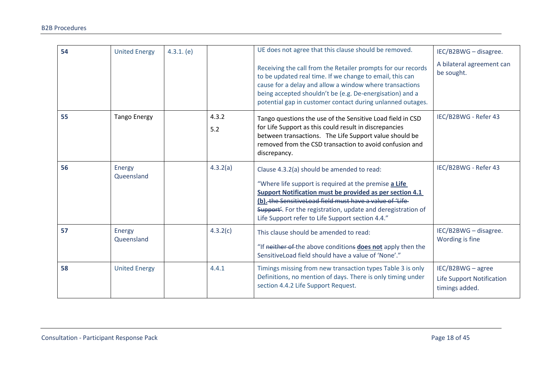| 54 | <b>United Energy</b> | 4.3.1. (e) |              | UE does not agree that this clause should be removed.<br>Receiving the call from the Retailer prompts for our records<br>to be updated real time. If we change to email, this can<br>cause for a delay and allow a window where transactions<br>being accepted shouldn't be (e.g. De-energisation) and a<br>potential gap in customer contact during unlanned outages. | IEC/B2BWG - disagree.<br>A bilateral agreement can<br>be sought. |
|----|----------------------|------------|--------------|------------------------------------------------------------------------------------------------------------------------------------------------------------------------------------------------------------------------------------------------------------------------------------------------------------------------------------------------------------------------|------------------------------------------------------------------|
| 55 | <b>Tango Energy</b>  |            | 4.3.2<br>5.2 | Tango questions the use of the Sensitive Load field in CSD<br>for Life Support as this could result in discrepancies<br>between transactions. The Life Support value should be<br>removed from the CSD transaction to avoid confusion and<br>discrepancy.                                                                                                              | IEC/B2BWG - Refer 43                                             |
| 56 | Energy<br>Queensland |            | 4.3.2(a)     | Clause 4.3.2(a) should be amended to read:<br>"Where life support is required at the premise a Life<br>Support Notification must be provided as per section 4.1<br>(b). the Sensitive Load field must have a value of 'Life<br>Support'. For the registration, update and deregistration of<br>Life Support refer to Life Support section 4.4."                        | IEC/B2BWG - Refer 43                                             |
| 57 | Energy<br>Queensland |            | 4.3.2(c)     | This clause should be amended to read:<br>"If neither of the above conditions does not apply then the<br>Sensitive Load field should have a value of 'None'."                                                                                                                                                                                                          | IEC/B2BWG - disagree.<br>Wording is fine                         |
| 58 | <b>United Energy</b> |            | 4.4.1        | Timings missing from new transaction types Table 3 is only<br>Definitions, no mention of days. There is only timing under<br>section 4.4.2 Life Support Request.                                                                                                                                                                                                       | IEC/B2BWG - agree<br>Life Support Notification<br>timings added. |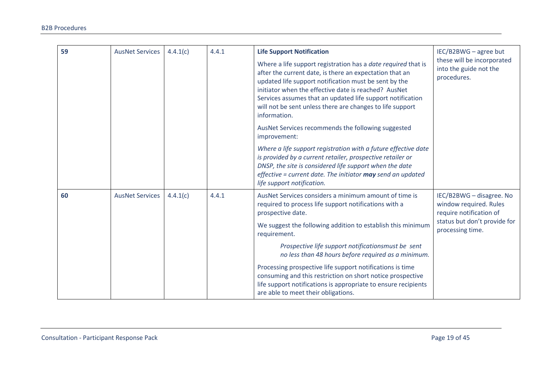| 59 | <b>AusNet Services</b> | 4.4.1(c) | 4.4.1 | <b>Life Support Notification</b><br>Where a life support registration has a date required that is<br>after the current date, is there an expectation that an<br>updated life support notification must be sent by the<br>initiator when the effective date is reached? AusNet<br>Services assumes that an updated life support notification<br>will not be sent unless there are changes to life support<br>information.<br>AusNet Services recommends the following suggested<br>improvement: | IEC/B2BWG - agree but<br>these will be incorporated<br>into the guide not the<br>procedures.                                      |
|----|------------------------|----------|-------|------------------------------------------------------------------------------------------------------------------------------------------------------------------------------------------------------------------------------------------------------------------------------------------------------------------------------------------------------------------------------------------------------------------------------------------------------------------------------------------------|-----------------------------------------------------------------------------------------------------------------------------------|
|    |                        |          |       | Where a life support registration with a future effective date<br>is provided by a current retailer, prospective retailer or<br>DNSP, the site is considered life support when the date<br>effective = current date. The initiator $may$ send an updated<br>life support notification.                                                                                                                                                                                                         |                                                                                                                                   |
| 60 | <b>AusNet Services</b> | 4.4.1(c) | 4.4.1 | AusNet Services considers a minimum amount of time is<br>required to process life support notifications with a<br>prospective date.<br>We suggest the following addition to establish this minimum<br>requirement.                                                                                                                                                                                                                                                                             | IEC/B2BWG - disagree. No<br>window required. Rules<br>require notification of<br>status but don't provide for<br>processing time. |
|    |                        |          |       | Prospective life support notificationsmust be sent<br>no less than 48 hours before required as a minimum.<br>Processing prospective life support notifications is time<br>consuming and this restriction on short notice prospective<br>life support notifications is appropriate to ensure recipients<br>are able to meet their obligations.                                                                                                                                                  |                                                                                                                                   |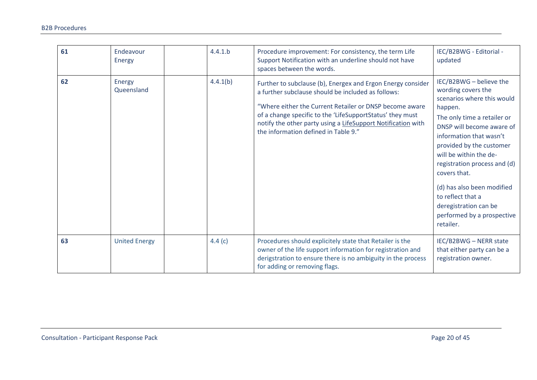| 61 | Endeavour<br>Energy  | 4.4.1.b   | Procedure improvement: For consistency, the term Life<br>Support Notification with an underline should not have<br>spaces between the words.                                                                                                                                                                                                      | IEC/B2BWG - Editorial -<br>updated                                                                                                                                                                                                                                                                                                                                                                         |
|----|----------------------|-----------|---------------------------------------------------------------------------------------------------------------------------------------------------------------------------------------------------------------------------------------------------------------------------------------------------------------------------------------------------|------------------------------------------------------------------------------------------------------------------------------------------------------------------------------------------------------------------------------------------------------------------------------------------------------------------------------------------------------------------------------------------------------------|
| 62 | Energy<br>Queensland | 4.4.1(b)  | Further to subclause (b), Energex and Ergon Energy consider<br>a further subclause should be included as follows:<br>"Where either the Current Retailer or DNSP become aware<br>of a change specific to the 'LifeSupportStatus' they must<br>notify the other party using a LifeSupport Notification with<br>the information defined in Table 9." | IEC/B2BWG - believe the<br>wording covers the<br>scenarios where this would<br>happen.<br>The only time a retailer or<br>DNSP will become aware of<br>information that wasn't<br>provided by the customer<br>will be within the de-<br>registration process and (d)<br>covers that.<br>(d) has also been modified<br>to reflect that a<br>deregistration can be<br>performed by a prospective<br>retailer. |
| 63 | <b>United Energy</b> | 4.4 $(c)$ | Procedures should explicitely state that Retailer is the<br>owner of the life support information for registration and<br>derigstration to ensure there is no ambiguity in the process<br>for adding or removing flags.                                                                                                                           | IEC/B2BWG - NERR state<br>that either party can be a<br>registration owner.                                                                                                                                                                                                                                                                                                                                |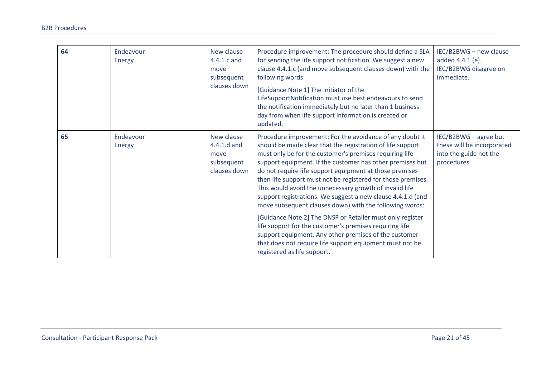| 64 | Endeavour<br>Energy | New clause<br>4.4.1.c and<br>move<br>subsequent<br>clauses down | Procedure improvement: The procedure should define a SLA<br>for sending the life support notification. We suggest a new<br>clause 4.4.1.c (and move subsequent clauses down) with the<br>following words:<br>[Guidance Note 1] The Initiator of the<br>LifeSupportNotification must use best endeavours to send<br>the notification immediately but no later than 1 business<br>day from when life support information is created or<br>updated.                                                                                                                                                                                                                                                                                                                                                                                           | IEC/B2BWG - new clause<br>added 4.4.1 (e).<br>IEC/B2BWG disagree on<br>immediate.           |
|----|---------------------|-----------------------------------------------------------------|--------------------------------------------------------------------------------------------------------------------------------------------------------------------------------------------------------------------------------------------------------------------------------------------------------------------------------------------------------------------------------------------------------------------------------------------------------------------------------------------------------------------------------------------------------------------------------------------------------------------------------------------------------------------------------------------------------------------------------------------------------------------------------------------------------------------------------------------|---------------------------------------------------------------------------------------------|
| 65 | Endeavour<br>Energy | New clause<br>4.4.1.d and<br>move<br>subsequent<br>clauses down | Procedure improvement: For the avoidance of any doubt it<br>should be made clear that the registration of life support<br>must only be for the customer's premises requiring life<br>support equipment. If the customer has other premises but<br>do not require life support equipment at those premises<br>then life support must not be registered for those premises.<br>This would avoid the unnecessary growth of invalid life<br>support registrations. We suggest a new clause 4.4.1.d (and<br>move subsequent clauses down) with the following words:<br>[Guidance Note 2] The DNSP or Retailer must only register<br>life support for the customer's premises requiring life<br>support equipment. Any other premises of the customer<br>that does not require life support equipment must not be<br>registered as life support. | IEC/B2BWG - agree but<br>these will be incorporated<br>into the guide not the<br>procedures |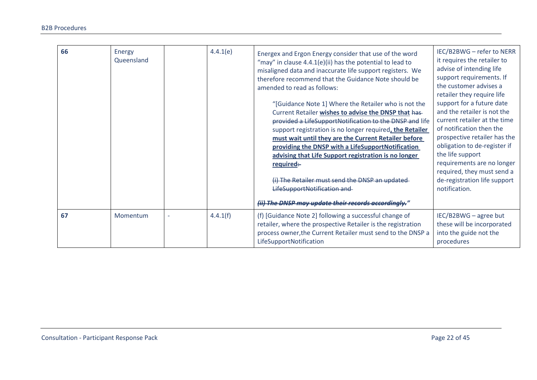| 66 | Energy<br><b>Queensland</b> | 4.4.1(e) | Energex and Ergon Energy consider that use of the word<br>"may" in clause 4.4.1(e)(ii) has the potential to lead to<br>misaligned data and inaccurate life support registers. We<br>therefore recommend that the Guidance Note should be<br>amended to read as follows:<br>"[Guidance Note 1] Where the Retailer who is not the<br>Current Retailer wishes to advise the DNSP that has-<br>provided a LifeSupportNotification to the DNSP and life<br>support registration is no longer required, the Retailer<br>must wait until they are the Current Retailer before<br>providing the DNSP with a LifeSupportNotification<br>advising that Life Support registration is no longer<br>required:<br>(i) The Retailer must send the DNSP an updated-<br>LifeSupportNotification and<br>(ii) The DNSP may update their records accordingly." | IEC/B2BWG - refer to NERR<br>it requires the retailer to<br>advise of intending life<br>support requirements. If<br>the customer advises a<br>retailer they require life<br>support for a future date<br>and the retailer is not the<br>current retailer at the time<br>of notification then the<br>prospective retailer has the<br>obligation to de-register if<br>the life support<br>requirements are no longer<br>required, they must send a<br>de-registration life support<br>notification. |
|----|-----------------------------|----------|--------------------------------------------------------------------------------------------------------------------------------------------------------------------------------------------------------------------------------------------------------------------------------------------------------------------------------------------------------------------------------------------------------------------------------------------------------------------------------------------------------------------------------------------------------------------------------------------------------------------------------------------------------------------------------------------------------------------------------------------------------------------------------------------------------------------------------------------|---------------------------------------------------------------------------------------------------------------------------------------------------------------------------------------------------------------------------------------------------------------------------------------------------------------------------------------------------------------------------------------------------------------------------------------------------------------------------------------------------|
| 67 | Momentum                    | 4.4.1(f) | (f) [Guidance Note 2] following a successful change of<br>retailer, where the prospective Retailer is the registration<br>process owner, the Current Retailer must send to the DNSP a<br>LifeSupportNotification                                                                                                                                                                                                                                                                                                                                                                                                                                                                                                                                                                                                                           | IEC/B2BWG - agree but<br>these will be incorporated<br>into the guide not the<br>procedures                                                                                                                                                                                                                                                                                                                                                                                                       |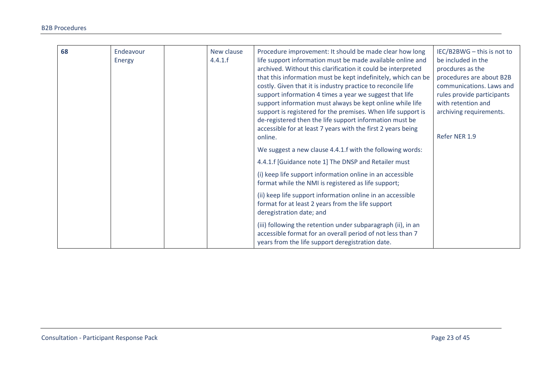| 68 | Endeavour<br><b>Energy</b> | New clause<br>4.4.1.f | Procedure improvement: It should be made clear how long<br>life support information must be made available online and<br>archived. Without this clarification it could be interpreted<br>that this information must be kept indefinitely, which can be<br>costly. Given that it is industry practice to reconcile life<br>support information 4 times a year we suggest that life<br>support information must always be kept online while life<br>support is registered for the premises. When life support is<br>de-registered then the life support information must be<br>accessible for at least 7 years with the first 2 years being<br>online. | IEC/B2BWG - this is not to<br>be included in the<br>procdures as the<br>procedures are about B2B<br>communications. Laws and<br>rules provide participants<br>with retention and<br>archiving requirements.<br>Refer NER 1.9 |
|----|----------------------------|-----------------------|------------------------------------------------------------------------------------------------------------------------------------------------------------------------------------------------------------------------------------------------------------------------------------------------------------------------------------------------------------------------------------------------------------------------------------------------------------------------------------------------------------------------------------------------------------------------------------------------------------------------------------------------------|------------------------------------------------------------------------------------------------------------------------------------------------------------------------------------------------------------------------------|
|    |                            |                       | We suggest a new clause 4.4.1.f with the following words:                                                                                                                                                                                                                                                                                                                                                                                                                                                                                                                                                                                            |                                                                                                                                                                                                                              |
|    |                            |                       | 4.4.1.f [Guidance note 1] The DNSP and Retailer must                                                                                                                                                                                                                                                                                                                                                                                                                                                                                                                                                                                                 |                                                                                                                                                                                                                              |
|    |                            |                       | (i) keep life support information online in an accessible<br>format while the NMI is registered as life support;                                                                                                                                                                                                                                                                                                                                                                                                                                                                                                                                     |                                                                                                                                                                                                                              |
|    |                            |                       | (ii) keep life support information online in an accessible<br>format for at least 2 years from the life support<br>deregistration date; and                                                                                                                                                                                                                                                                                                                                                                                                                                                                                                          |                                                                                                                                                                                                                              |
|    |                            |                       | (iii) following the retention under subparagraph (ii), in an<br>accessible format for an overall period of not less than 7<br>years from the life support deregistration date.                                                                                                                                                                                                                                                                                                                                                                                                                                                                       |                                                                                                                                                                                                                              |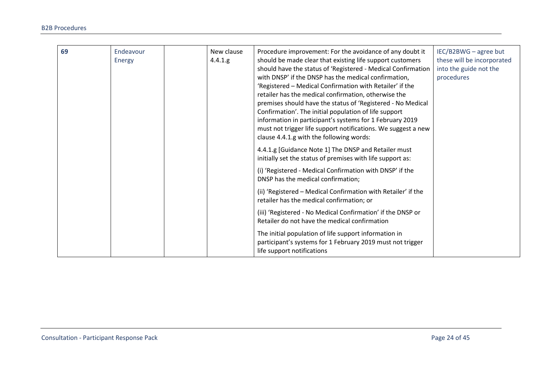| 69 | Endeavour<br>Energy | New clause<br>4.4.1.g | Procedure improvement: For the avoidance of any doubt it<br>should be made clear that existing life support customers<br>should have the status of 'Registered - Medical Confirmation<br>with DNSP' if the DNSP has the medical confirmation,<br>'Registered - Medical Confirmation with Retailer' if the<br>retailer has the medical confirmation, otherwise the<br>premises should have the status of 'Registered - No Medical<br>Confirmation'. The initial population of life support<br>information in participant's systems for 1 February 2019<br>must not trigger life support notifications. We suggest a new<br>clause 4.4.1.g with the following words: | IEC/B2BWG - agree but<br>these will be incorporated<br>into the guide not the<br>procedures |
|----|---------------------|-----------------------|--------------------------------------------------------------------------------------------------------------------------------------------------------------------------------------------------------------------------------------------------------------------------------------------------------------------------------------------------------------------------------------------------------------------------------------------------------------------------------------------------------------------------------------------------------------------------------------------------------------------------------------------------------------------|---------------------------------------------------------------------------------------------|
|    |                     |                       | 4.4.1.g [Guidance Note 1] The DNSP and Retailer must<br>initially set the status of premises with life support as:                                                                                                                                                                                                                                                                                                                                                                                                                                                                                                                                                 |                                                                                             |
|    |                     |                       | (i) 'Registered - Medical Confirmation with DNSP' if the<br>DNSP has the medical confirmation;                                                                                                                                                                                                                                                                                                                                                                                                                                                                                                                                                                     |                                                                                             |
|    |                     |                       | (ii) 'Registered - Medical Confirmation with Retailer' if the<br>retailer has the medical confirmation; or                                                                                                                                                                                                                                                                                                                                                                                                                                                                                                                                                         |                                                                                             |
|    |                     |                       | (iii) 'Registered - No Medical Confirmation' if the DNSP or<br>Retailer do not have the medical confirmation                                                                                                                                                                                                                                                                                                                                                                                                                                                                                                                                                       |                                                                                             |
|    |                     |                       | The initial population of life support information in<br>participant's systems for 1 February 2019 must not trigger<br>life support notifications                                                                                                                                                                                                                                                                                                                                                                                                                                                                                                                  |                                                                                             |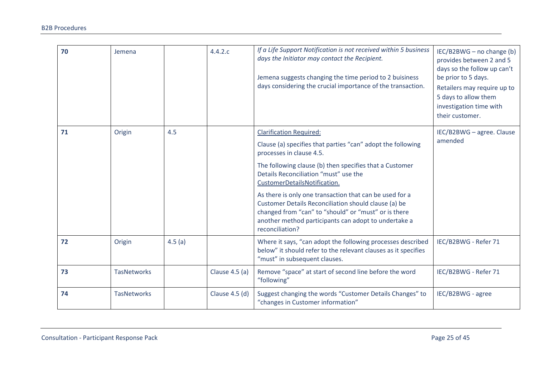| 70 | Jemena             |        | 4.4.2.c        | If a Life Support Notification is not received within 5 business<br>days the Initiator may contact the Recipient.<br>Jemena suggests changing the time period to 2 buisiness<br>days considering the crucial importance of the transaction.                                                                                                                                                                                                                                                                         | IEC/B2BWG - no change (b)<br>provides between 2 and 5<br>days so the follow up can't<br>be prior to 5 days.<br>Retailers may require up to<br>5 days to allow them<br>investigation time with<br>their customer. |
|----|--------------------|--------|----------------|---------------------------------------------------------------------------------------------------------------------------------------------------------------------------------------------------------------------------------------------------------------------------------------------------------------------------------------------------------------------------------------------------------------------------------------------------------------------------------------------------------------------|------------------------------------------------------------------------------------------------------------------------------------------------------------------------------------------------------------------|
| 71 | Origin             | 4.5    |                | <b>Clarification Required:</b><br>Clause (a) specifies that parties "can" adopt the following<br>processes in clause 4.5.<br>The following clause (b) then specifies that a Customer<br>Details Reconciliation "must" use the<br>CustomerDetailsNotification.<br>As there is only one transaction that can be used for a<br>Customer Details Reconciliation should clause (a) be<br>changed from "can" to "should" or "must" or is there<br>another method participants can adopt to undertake a<br>reconciliation? | IEC/B2BWG - agree. Clause<br>amended                                                                                                                                                                             |
| 72 | Origin             | 4.5(a) |                | Where it says, "can adopt the following processes described<br>below" it should refer to the relevant clauses as it specifies<br>"must" in subsequent clauses.                                                                                                                                                                                                                                                                                                                                                      | IEC/B2BWG - Refer 71                                                                                                                                                                                             |
| 73 | <b>TasNetworks</b> |        | Clause 4.5 (a) | Remove "space" at start of second line before the word<br>"following"                                                                                                                                                                                                                                                                                                                                                                                                                                               | IEC/B2BWG - Refer 71                                                                                                                                                                                             |
| 74 | <b>TasNetworks</b> |        | Clause 4.5 (d) | Suggest changing the words "Customer Details Changes" to<br>"changes in Customer information"                                                                                                                                                                                                                                                                                                                                                                                                                       | IEC/B2BWG - agree                                                                                                                                                                                                |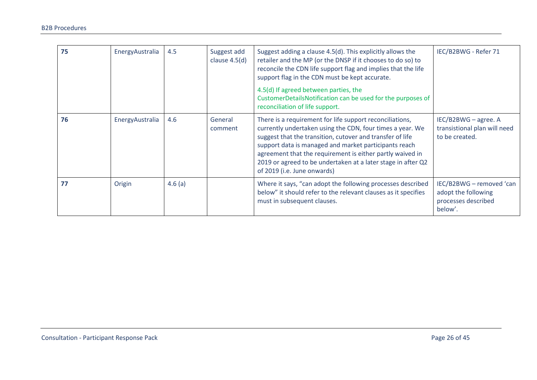| 75 | EnergyAustralia | 4.5    | Suggest add<br>clause $4.5(d)$ | Suggest adding a clause 4.5(d). This explicitly allows the<br>retailer and the MP (or the DNSP if it chooses to do so) to<br>reconcile the CDN life support flag and implies that the life<br>support flag in the CDN must be kept accurate.<br>4.5(d) If agreed between parties, the<br>CustomerDetailsNotification can be used for the purposes of<br>reconciliation of life support.                 | IEC/B2BWG - Refer 71                                                              |
|----|-----------------|--------|--------------------------------|---------------------------------------------------------------------------------------------------------------------------------------------------------------------------------------------------------------------------------------------------------------------------------------------------------------------------------------------------------------------------------------------------------|-----------------------------------------------------------------------------------|
| 76 | EnergyAustralia | 4.6    | General<br>comment             | There is a requirement for life support reconciliations,<br>currently undertaken using the CDN, four times a year. We<br>suggest that the transition, cutover and transfer of life<br>support data is managed and market participants reach<br>agreement that the requirement is either partly waived in<br>2019 or agreed to be undertaken at a later stage in after Q2<br>of 2019 (i.e. June onwards) | IEC/B2BWG - agree. A<br>transistional plan will need<br>to be created.            |
| 77 | Origin          | 4.6(a) |                                | Where it says, "can adopt the following processes described<br>below" it should refer to the relevant clauses as it specifies<br>must in subsequent clauses.                                                                                                                                                                                                                                            | IEC/B2BWG - removed 'can<br>adopt the following<br>processes described<br>below'. |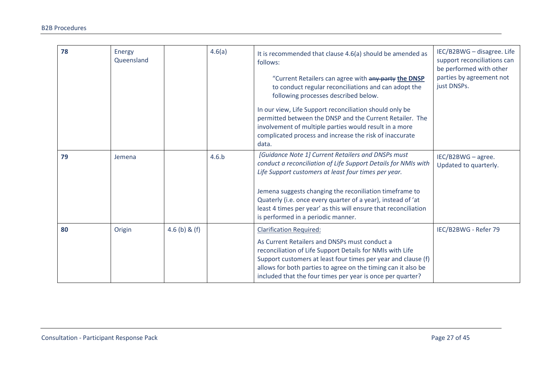| 78 | Energy<br>Queensland |               | 4.6(a) | It is recommended that clause 4.6(a) should be amended as<br>follows:<br>"Current Retailers can agree with any party the DNSP<br>to conduct regular reconciliations and can adopt the<br>following processes described below.<br>In our view, Life Support reconciliation should only be<br>permitted between the DNSP and the Current Retailer. The<br>involvement of multiple parties would result in a more<br>complicated process and increase the risk of inaccurate<br>data. | IEC/B2BWG - disagree. Life<br>support reconciliations can<br>be performed with other<br>parties by agreement not<br>just DNSPs. |
|----|----------------------|---------------|--------|------------------------------------------------------------------------------------------------------------------------------------------------------------------------------------------------------------------------------------------------------------------------------------------------------------------------------------------------------------------------------------------------------------------------------------------------------------------------------------|---------------------------------------------------------------------------------------------------------------------------------|
| 79 | Jemena               |               | 4.6.b  | [Guidance Note 1] Current Retailers and DNSPs must<br>conduct a reconciliation of Life Support Details for NMIs with<br>Life Support customers at least four times per year.<br>Jemena suggests changing the reconiliation timeframe to<br>Quaterly (i.e. once every quarter of a year), instead of 'at<br>least 4 times per year' as this will ensure that reconciliation<br>is performed in a periodic manner.                                                                   | IEC/B2BWG - agree.<br>Updated to quarterly.                                                                                     |
| 80 | Origin               | 4.6 (b) & (f) |        | <b>Clarification Required:</b><br>As Current Retailers and DNSPs must conduct a<br>reconciliation of Life Support Details for NMIs with Life<br>Support customers at least four times per year and clause (f)<br>allows for both parties to agree on the timing can it also be<br>included that the four times per year is once per quarter?                                                                                                                                       | IEC/B2BWG - Refer 79                                                                                                            |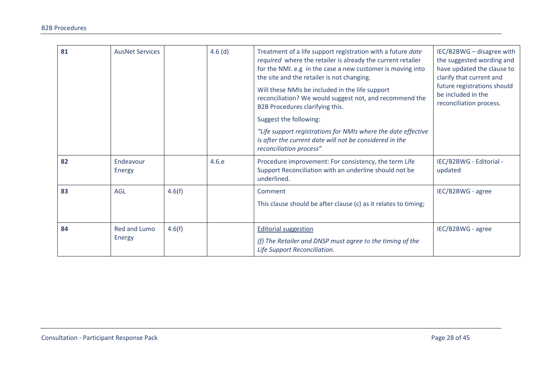| 81 | <b>AusNet Services</b> |        | $4.6$ (d) | Treatment of a life support registration with a future date<br>required where the retailer is already the current retailer<br>for the NMI. e.g in the case a new customer is moving into<br>the site and the retailer is not changing.<br>Will these NMIs be included in the life support<br>reconciliation? We would suggest not, and recommend the<br>B2B Procedures clarifying this.<br>Suggest the following:<br>"Life support registrations for NMIs where the date effective<br>is after the current date will not be considered in the<br>reconciliation process" | IEC/B2BWG - disagree with<br>the suggested wording and<br>have updated the clause to<br>clarify that current and<br>future registrations should<br>be included in the<br>reconciliation process. |
|----|------------------------|--------|-----------|--------------------------------------------------------------------------------------------------------------------------------------------------------------------------------------------------------------------------------------------------------------------------------------------------------------------------------------------------------------------------------------------------------------------------------------------------------------------------------------------------------------------------------------------------------------------------|--------------------------------------------------------------------------------------------------------------------------------------------------------------------------------------------------|
| 82 | Endeavour<br>Energy    |        | 4.6.e     | Procedure improvement: For consistency, the term Life<br>Support Reconciliation with an underline should not be<br>underlined.                                                                                                                                                                                                                                                                                                                                                                                                                                           | IEC/B2BWG - Editorial -<br>updated                                                                                                                                                               |
| 83 | <b>AGL</b>             | 4.6(f) |           | Comment<br>This clause should be after clause (c) as it relates to timing;                                                                                                                                                                                                                                                                                                                                                                                                                                                                                               | IEC/B2BWG - agree                                                                                                                                                                                |
| 84 | Red and Lumo<br>Energy | 4.6(f) |           | <b>Editorial suggestion</b><br>(f) The Retailer and DNSP must agree to the timing of the<br>Life Support Reconciliation.                                                                                                                                                                                                                                                                                                                                                                                                                                                 | IEC/B2BWG - agree                                                                                                                                                                                |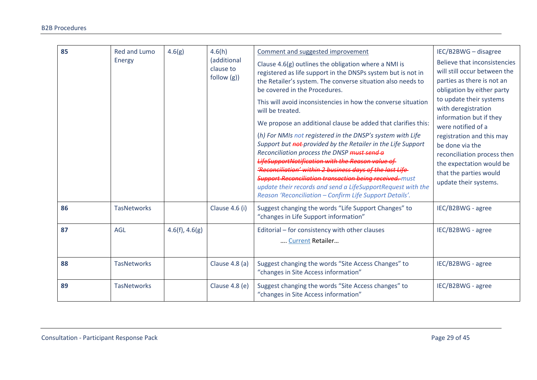| 85 | <b>Red and Lumo</b><br>Energy | 4.6(g)         | 4.6(h)<br>(additional   | Comment and suggested improvement<br>Clause 4.6(g) outlines the obligation where a NMI is                                                                                                                                                                                                                                                                                                                                                                                             | IEC/B2BWG - disagree<br>Believe that inconsistencies                                                                                                       |
|----|-------------------------------|----------------|-------------------------|---------------------------------------------------------------------------------------------------------------------------------------------------------------------------------------------------------------------------------------------------------------------------------------------------------------------------------------------------------------------------------------------------------------------------------------------------------------------------------------|------------------------------------------------------------------------------------------------------------------------------------------------------------|
|    |                               |                | clause to<br>follow(g)) | registered as life support in the DNSPs system but is not in<br>the Retailer's system. The converse situation also needs to<br>be covered in the Procedures.                                                                                                                                                                                                                                                                                                                          | will still occur between the<br>parties as there is not an<br>obligation by either party                                                                   |
|    |                               |                |                         | This will avoid inconsistencies in how the converse situation<br>will be treated.                                                                                                                                                                                                                                                                                                                                                                                                     | to update their systems<br>with deregistration                                                                                                             |
|    |                               |                |                         | We propose an additional clause be added that clarifies this:                                                                                                                                                                                                                                                                                                                                                                                                                         | information but if they<br>were notified of a                                                                                                              |
|    |                               |                |                         | (h) For NMIs not registered in the DNSP's system with Life<br>Support but not-provided by the Retailer in the Life Support<br>Reconciliation process the DNSP must send a<br>LifeSupportNotification with the Reason value of<br>'Reconciliation' within 2 business days of the last Life<br><b>Support Reconciliation transaction being received.</b> must<br>update their records and send a LifeSupportRequest with the<br>Reason 'Reconciliation - Confirm Life Support Details'. | registration and this may<br>be done via the<br>reconciliation process then<br>the expectation would be<br>that the parties would<br>update their systems. |
| 86 | <b>TasNetworks</b>            |                | Clause 4.6 (i)          | Suggest changing the words "Life Support Changes" to<br>"changes in Life Support information"                                                                                                                                                                                                                                                                                                                                                                                         | IEC/B2BWG - agree                                                                                                                                          |
| 87 | <b>AGL</b>                    | 4.6(f), 4.6(g) |                         | Editorial - for consistency with other clauses<br>Current Retailer                                                                                                                                                                                                                                                                                                                                                                                                                    | IEC/B2BWG - agree                                                                                                                                          |
| 88 | <b>TasNetworks</b>            |                | Clause 4.8 (a)          | Suggest changing the words "Site Access Changes" to<br>"changes in Site Access information"                                                                                                                                                                                                                                                                                                                                                                                           | IEC/B2BWG - agree                                                                                                                                          |
| 89 | <b>TasNetworks</b>            |                | Clause 4.8 (e)          | Suggest changing the words "Site Access changes" to<br>"changes in Site Access information"                                                                                                                                                                                                                                                                                                                                                                                           | IEC/B2BWG - agree                                                                                                                                          |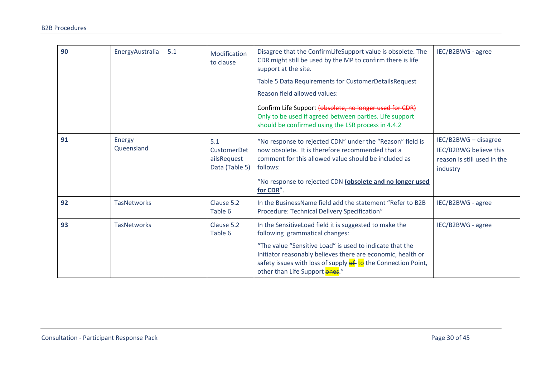| 90 | EnergyAustralia             | 5.1 | Modification<br>to clause                           | Disagree that the ConfirmLifeSupport value is obsolete. The<br>CDR might still be used by the MP to confirm there is life<br>support at the site.                                                                          | IEC/B2BWG - agree                                                                         |
|----|-----------------------------|-----|-----------------------------------------------------|----------------------------------------------------------------------------------------------------------------------------------------------------------------------------------------------------------------------------|-------------------------------------------------------------------------------------------|
|    |                             |     |                                                     | Table 5 Data Requirements for CustomerDetailsRequest                                                                                                                                                                       |                                                                                           |
|    |                             |     |                                                     | Reason field allowed values:                                                                                                                                                                                               |                                                                                           |
|    |                             |     |                                                     | Confirm Life Support (obsolete, no longer used for CDR)<br>Only to be used if agreed between parties. Life support<br>should be confirmed using the LSR process in 4.4.2                                                   |                                                                                           |
| 91 | <b>Energy</b><br>Queensland |     | 5.1<br>CustomerDet<br>ailsRequest<br>Data (Table 5) | "No response to rejected CDN" under the "Reason" field is<br>now obsolete. It is therefore recommended that a<br>comment for this allowed value should be included as<br>follows:                                          | IEC/B2BWG - disagree<br>IEC/B2BWG believe this<br>reason is still used in the<br>industry |
|    |                             |     |                                                     | "No response to rejected CDN (obsolete and no longer used<br>for CDR".                                                                                                                                                     |                                                                                           |
| 92 | <b>TasNetworks</b>          |     | Clause 5.2<br>Table 6                               | In the BusinessName field add the statement "Refer to B2B<br>Procedure: Technical Delivery Specification"                                                                                                                  | IEC/B2BWG - agree                                                                         |
| 93 | <b>TasNetworks</b>          |     | Clause 5.2<br>Table 6                               | In the SensitiveLoad field it is suggested to make the<br>following grammatical changes:                                                                                                                                   | IEC/B2BWG - agree                                                                         |
|    |                             |     |                                                     | "The value "Sensitive Load" is used to indicate that the<br>Initiator reasonably believes there are economic, health or<br>safety issues with loss of supply of to the Connection Point,<br>other than Life Support ones." |                                                                                           |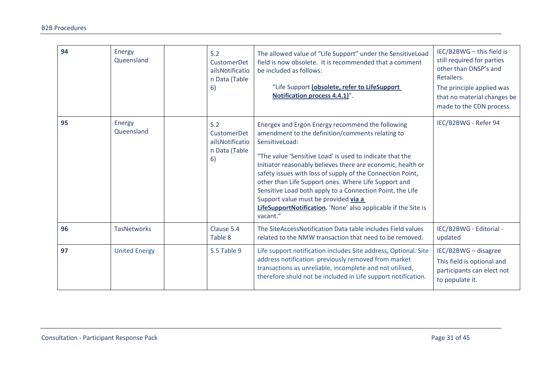| 94 | Energy<br>Queensland | 5.2<br><b>CustomerDet</b><br>ailsNotificatio<br>n Data (Table<br>6) | The allowed value of "Life Support" under the SensitiveLoad<br>field is now obsolete. It is recommended that a comment<br>be included as follows:<br>"Life Support (obsolete, refer to LifeSupport<br>Notification process 4.4.1)".                                                                                                                                                                                                                                                                                                                        | IEC/B2BWG - this field is<br>still required for parties<br>other than DNSP's and<br>Retailers.<br>The principle applied was<br>that no material changes be<br>made to the CDN process. |
|----|----------------------|---------------------------------------------------------------------|------------------------------------------------------------------------------------------------------------------------------------------------------------------------------------------------------------------------------------------------------------------------------------------------------------------------------------------------------------------------------------------------------------------------------------------------------------------------------------------------------------------------------------------------------------|----------------------------------------------------------------------------------------------------------------------------------------------------------------------------------------|
| 95 | Energy<br>Queensland | 5.2<br><b>CustomerDet</b><br>ailsNotificatio<br>n Data (Table<br>6) | Energex and Ergon Energy recommend the following<br>amendment to the definition/comments relating to<br>SensitiveLoad:<br>"The value 'Sensitive Load' is used to indicate that the<br>Initiator reasonably believes there are economic, health or<br>safety issues with loss of supply of the Connection Point,<br>other than Life Support ones. Where Life Support and<br>Sensitive Load both apply to a Connection Point, the Life<br>Support value must be provided via a<br>LifeSupportNotification. 'None' also applicable if the Site is<br>vacant." | IEC/B2BWG - Refer 94                                                                                                                                                                   |
| 96 | <b>TasNetworks</b>   | Clause 5.4<br>Table 8                                               | The SiteAccessNotification Data table includes Field values<br>related to the NMW transaction that need to be removed.                                                                                                                                                                                                                                                                                                                                                                                                                                     | IEC/B2BWG - Editorial -<br>updated                                                                                                                                                     |
| 97 | <b>United Energy</b> | 5.5 Table 9                                                         | Life support notification includes Site address, Optional. Site<br>address notification previously removed from market<br>transactions as unreliable, incomplete and not utilised,<br>therefore shuld not be included in Life support notification.                                                                                                                                                                                                                                                                                                        | IEC/B2BWG - disagree<br>This field is optional and<br>participants can elect not<br>to populate it.                                                                                    |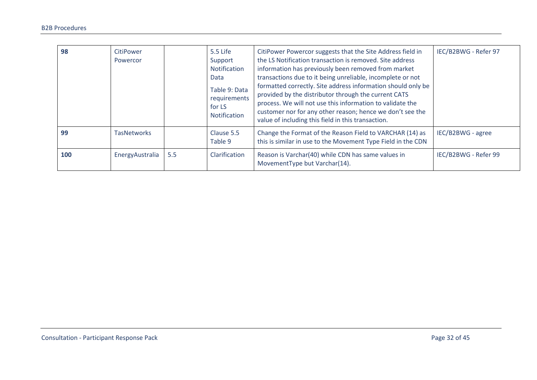| 98  | CitiPower<br>Powercor |     | 5.5 Life<br>Support<br>Notification<br>Data<br>Table 9: Data<br>requirements<br>for LS<br>Notification | CitiPower Powercor suggests that the Site Address field in<br>the LS Notification transaction is removed. Site address<br>information has previously been removed from market<br>transactions due to it being unreliable, incomplete or not<br>formatted correctly. Site address information should only be<br>provided by the distributor through the current CATS<br>process. We will not use this information to validate the<br>customer nor for any other reason; hence we don't see the<br>value of including this field in this transaction. | IEC/B2BWG - Refer 97 |
|-----|-----------------------|-----|--------------------------------------------------------------------------------------------------------|-----------------------------------------------------------------------------------------------------------------------------------------------------------------------------------------------------------------------------------------------------------------------------------------------------------------------------------------------------------------------------------------------------------------------------------------------------------------------------------------------------------------------------------------------------|----------------------|
| 99  | <b>TasNetworks</b>    |     | Clause 5.5<br>Table 9                                                                                  | Change the Format of the Reason Field to VARCHAR (14) as<br>this is similar in use to the Movement Type Field in the CDN                                                                                                                                                                                                                                                                                                                                                                                                                            | IEC/B2BWG - agree    |
| 100 | EnergyAustralia       | 5.5 | Clarification                                                                                          | Reason is Varchar(40) while CDN has same values in<br>MovementType but Varchar(14).                                                                                                                                                                                                                                                                                                                                                                                                                                                                 | IEC/B2BWG - Refer 99 |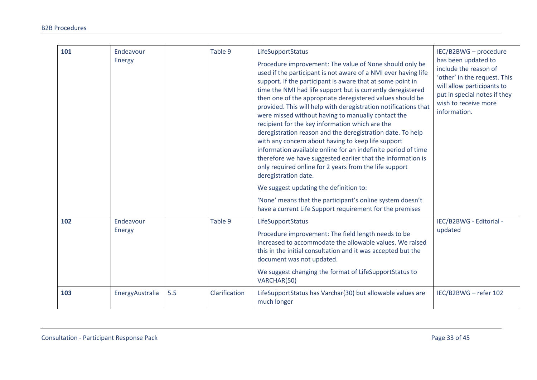| 101 | Endeavour<br>Energy |     | Table 9       | LifeSupportStatus<br>Procedure improvement: The value of None should only be<br>used if the participant is not aware of a NMI ever having life<br>support. If the participant is aware that at some point in<br>time the NMI had life support but is currently deregistered<br>then one of the appropriate deregistered values should be<br>provided. This will help with deregistration notifications that<br>were missed without having to manually contact the<br>recipient for the key information which are the<br>deregistration reason and the deregistration date. To help<br>with any concern about having to keep life support<br>information available online for an indefinite period of time<br>therefore we have suggested earlier that the information is<br>only required online for 2 years from the life support<br>deregistration date.<br>We suggest updating the definition to:<br>'None' means that the participant's online system doesn't<br>have a current Life Support requirement for the premises | IEC/B2BWG - procedure<br>has been updated to<br>include the reason of<br>'other' in the request. This<br>will allow participants to<br>put in special notes if they<br>wish to receive more<br>information. |
|-----|---------------------|-----|---------------|-------------------------------------------------------------------------------------------------------------------------------------------------------------------------------------------------------------------------------------------------------------------------------------------------------------------------------------------------------------------------------------------------------------------------------------------------------------------------------------------------------------------------------------------------------------------------------------------------------------------------------------------------------------------------------------------------------------------------------------------------------------------------------------------------------------------------------------------------------------------------------------------------------------------------------------------------------------------------------------------------------------------------------|-------------------------------------------------------------------------------------------------------------------------------------------------------------------------------------------------------------|
| 102 | Endeavour<br>Energy |     | Table 9       | LifeSupportStatus<br>Procedure improvement: The field length needs to be<br>increased to accommodate the allowable values. We raised<br>this in the initial consultation and it was accepted but the<br>document was not updated.<br>We suggest changing the format of LifeSupportStatus to<br>VARCHAR(50)                                                                                                                                                                                                                                                                                                                                                                                                                                                                                                                                                                                                                                                                                                                    | IEC/B2BWG - Editorial -<br>updated                                                                                                                                                                          |
| 103 | EnergyAustralia     | 5.5 | Clarification | LifeSupportStatus has Varchar(30) but allowable values are<br>much longer                                                                                                                                                                                                                                                                                                                                                                                                                                                                                                                                                                                                                                                                                                                                                                                                                                                                                                                                                     | IEC/B2BWG - refer 102                                                                                                                                                                                       |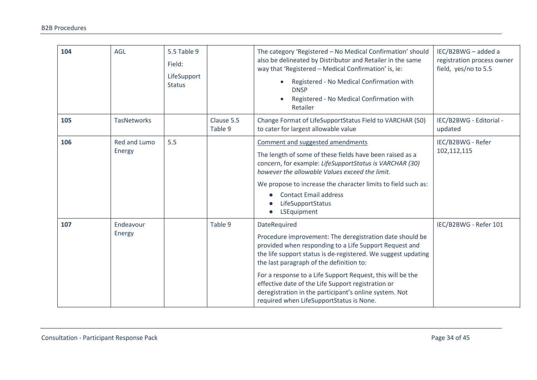| 104 | <b>AGL</b>             | 5.5 Table 9<br>Field:<br>LifeSupport<br><b>Status</b> |                       | The category 'Registered - No Medical Confirmation' should<br>also be delineated by Distributor and Retailer in the same<br>way that 'Registered - Medical Confirmation' is, ie:<br>Registered - No Medical Confirmation with<br><b>DNSP</b><br>Registered - No Medical Confirmation with<br>Retailer                                                                                                                                                                     | IEC/B2BWG - added a<br>registration process owner<br>field, yes/no to 5.5 |
|-----|------------------------|-------------------------------------------------------|-----------------------|---------------------------------------------------------------------------------------------------------------------------------------------------------------------------------------------------------------------------------------------------------------------------------------------------------------------------------------------------------------------------------------------------------------------------------------------------------------------------|---------------------------------------------------------------------------|
| 105 | <b>TasNetworks</b>     |                                                       | Clause 5.5<br>Table 9 | Change Format of LifeSupportStatus Field to VARCHAR (50)<br>to cater for largest allowable value                                                                                                                                                                                                                                                                                                                                                                          | IEC/B2BWG - Editorial -<br>updated                                        |
| 106 | Red and Lumo<br>Energy | 5.5                                                   |                       | Comment and suggested amendments<br>The length of some of these fields have been raised as a<br>concern, for example: LifeSupportStatus is VARCHAR (30)<br>however the allowable Values exceed the limit.<br>We propose to increase the character limits to field such as:<br><b>Contact Email address</b><br>LifeSupportStatus<br>LSEquipment                                                                                                                            | IEC/B2BWG - Refer<br>102,112,115                                          |
| 107 | Endeavour<br>Energy    |                                                       | Table 9               | DateRequired<br>Procedure improvement: The deregistration date should be<br>provided when responding to a Life Support Request and<br>the life support status is de-registered. We suggest updating<br>the last paragraph of the definition to:<br>For a response to a Life Support Request, this will be the<br>effective date of the Life Support registration or<br>deregistration in the participant's online system. Not<br>required when LifeSupportStatus is None. | IEC/B2BWG - Refer 101                                                     |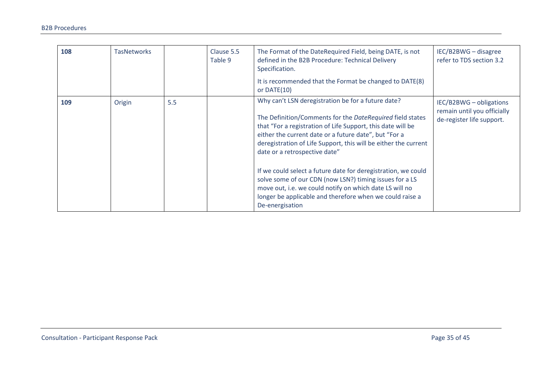| 108 | <b>TasNetworks</b> |     | Clause 5.5<br>Table 9 | The Format of the DateRequired Field, being DATE, is not<br>defined in the B2B Procedure: Technical Delivery<br>Specification.<br>It is recommended that the Format be changed to DATE(8)<br>or $DATE(10)$                                                                                                                                  | IEC/B2BWG - disagree<br>refer to TDS section 3.2                                    |
|-----|--------------------|-----|-----------------------|---------------------------------------------------------------------------------------------------------------------------------------------------------------------------------------------------------------------------------------------------------------------------------------------------------------------------------------------|-------------------------------------------------------------------------------------|
| 109 | Origin             | 5.5 |                       | Why can't LSN deregistration be for a future date?<br>The Definition/Comments for the DateRequired field states<br>that "For a registration of Life Support, this date will be<br>either the current date or a future date", but "For a<br>deregistration of Life Support, this will be either the current<br>date or a retrospective date" | IEC/B2BWG - obligations<br>remain until you officially<br>de-register life support. |
|     |                    |     |                       | If we could select a future date for deregistration, we could<br>solve some of our CDN (now LSN?) timing issues for a LS<br>move out, i.e. we could notify on which date LS will no<br>longer be applicable and therefore when we could raise a<br>De-energisation                                                                          |                                                                                     |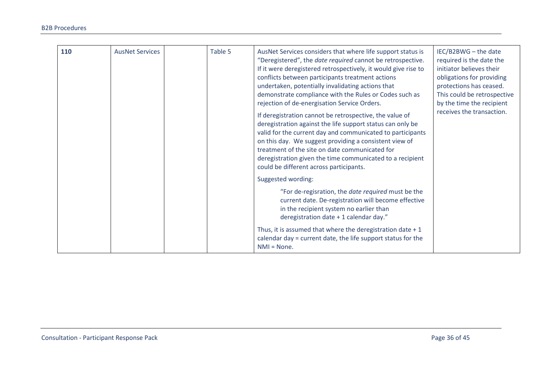| 110 | <b>AusNet Services</b> | Table 5 | AusNet Services considers that where life support status is<br>"Deregistered", the date required cannot be retrospective.<br>If it were deregistered retrospectively, it would give rise to<br>conflicts between participants treatment actions<br>undertaken, potentially invalidating actions that<br>demonstrate compliance with the Rules or Codes such as<br>rejection of de-energisation Service Orders.<br>If deregistration cannot be retrospective, the value of<br>deregistration against the life support status can only be<br>valid for the current day and communicated to participants<br>on this day. We suggest providing a consistent view of<br>treatment of the site on date communicated for<br>deregistration given the time communicated to a recipient<br>could be different across participants. | IEC/B2BWG - the date<br>required is the date the<br>initiator believes their<br>obligations for providing<br>protections has ceased.<br>This could be retrospective<br>by the time the recipient<br>receives the transaction. |
|-----|------------------------|---------|---------------------------------------------------------------------------------------------------------------------------------------------------------------------------------------------------------------------------------------------------------------------------------------------------------------------------------------------------------------------------------------------------------------------------------------------------------------------------------------------------------------------------------------------------------------------------------------------------------------------------------------------------------------------------------------------------------------------------------------------------------------------------------------------------------------------------|-------------------------------------------------------------------------------------------------------------------------------------------------------------------------------------------------------------------------------|
|     |                        |         | Suggested wording:<br>"For de-regisration, the <i>date required</i> must be the<br>current date. De-registration will become effective<br>in the recipient system no earlier than<br>deregistration date + 1 calendar day."<br>Thus, it is assumed that where the deregistration date $+1$<br>calendar day = current date, the life support status for the<br>$NMI = None$ .                                                                                                                                                                                                                                                                                                                                                                                                                                              |                                                                                                                                                                                                                               |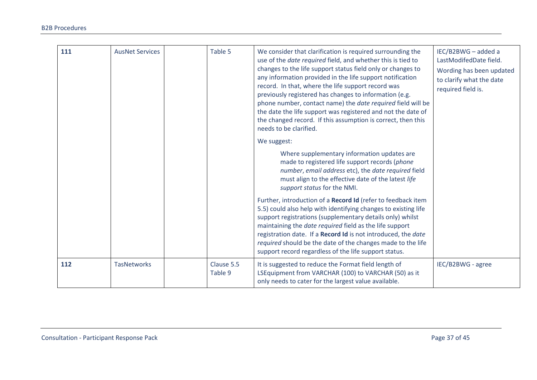| 111 | <b>AusNet Services</b> | Table 5               | We consider that clarification is required surrounding the<br>use of the date required field, and whether this is tied to<br>changes to the life support status field only or changes to<br>any information provided in the life support notification<br>record. In that, where the life support record was<br>previously registered has changes to information (e.g.<br>phone number, contact name) the <i>date required</i> field will be<br>the date the life support was registered and not the date of<br>the changed record. If this assumption is correct, then this<br>needs to be clarified.<br>We suggest: | IEC/B2BWG - added a<br>LastModifedDate field.<br>Wording has been updated<br>to clarify what the date<br>required field is. |
|-----|------------------------|-----------------------|----------------------------------------------------------------------------------------------------------------------------------------------------------------------------------------------------------------------------------------------------------------------------------------------------------------------------------------------------------------------------------------------------------------------------------------------------------------------------------------------------------------------------------------------------------------------------------------------------------------------|-----------------------------------------------------------------------------------------------------------------------------|
|     |                        |                       | Where supplementary information updates are<br>made to registered life support records (phone<br>number, email address etc), the date required field<br>must align to the effective date of the latest life<br>support status for the NMI.                                                                                                                                                                                                                                                                                                                                                                           |                                                                                                                             |
|     |                        |                       | Further, introduction of a Record Id (refer to feedback item<br>5.5) could also help with identifying changes to existing life<br>support registrations (supplementary details only) whilst<br>maintaining the date required field as the life support<br>registration date. If a Record Id is not introduced, the date<br>required should be the date of the changes made to the life<br>support record regardless of the life support status.                                                                                                                                                                      |                                                                                                                             |
| 112 | <b>TasNetworks</b>     | Clause 5.5<br>Table 9 | It is suggested to reduce the Format field length of<br>LSEquipment from VARCHAR (100) to VARCHAR (50) as it<br>only needs to cater for the largest value available.                                                                                                                                                                                                                                                                                                                                                                                                                                                 | IEC/B2BWG - agree                                                                                                           |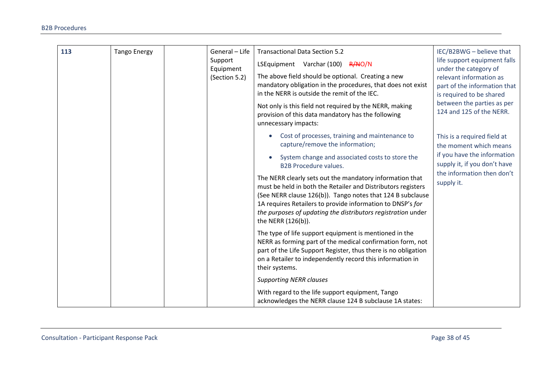| 113 | <b>Tango Energy</b> | General - Life<br>Support<br>Equipment<br>(Section 5.2)                                                                                                                                                                                                                                                                                                                                                                                                                                                                                    | <b>Transactional Data Section 5.2</b><br>LSEquipment Varchar (100) R/NO/N<br>The above field should be optional. Creating a new<br>mandatory obligation in the procedures, that does not exist<br>in the NERR is outside the remit of the IEC.<br>Not only is this field not required by the NERR, making<br>provision of this data mandatory has the following | IEC/B2BWG - believe that<br>life support equipment falls<br>under the category of<br>relevant information as<br>part of the information that<br>is required to be shared<br>between the parties as per<br>124 and 125 of the NERR. |
|-----|---------------------|--------------------------------------------------------------------------------------------------------------------------------------------------------------------------------------------------------------------------------------------------------------------------------------------------------------------------------------------------------------------------------------------------------------------------------------------------------------------------------------------------------------------------------------------|-----------------------------------------------------------------------------------------------------------------------------------------------------------------------------------------------------------------------------------------------------------------------------------------------------------------------------------------------------------------|------------------------------------------------------------------------------------------------------------------------------------------------------------------------------------------------------------------------------------|
|     |                     | unnecessary impacts:<br>Cost of processes, training and maintenance to<br>capture/remove the information;<br>System change and associated costs to store the<br><b>B2B Procedure values.</b><br>The NERR clearly sets out the mandatory information that<br>must be held in both the Retailer and Distributors registers<br>(See NERR clause 126(b)). Tango notes that 124 B subclause<br>1A requires Retailers to provide information to DNSP's for<br>the purposes of updating the distributors registration under<br>the NERR (126(b)). | This is a required field at<br>the moment which means<br>if you have the information<br>supply it, if you don't have<br>the information then don't<br>supply it.                                                                                                                                                                                                |                                                                                                                                                                                                                                    |
|     |                     |                                                                                                                                                                                                                                                                                                                                                                                                                                                                                                                                            | The type of life support equipment is mentioned in the<br>NERR as forming part of the medical confirmation form, not<br>part of the Life Support Register, thus there is no obligation<br>on a Retailer to independently record this information in<br>their systems.                                                                                           |                                                                                                                                                                                                                                    |
|     |                     |                                                                                                                                                                                                                                                                                                                                                                                                                                                                                                                                            | <b>Supporting NERR clauses</b><br>With regard to the life support equipment, Tango<br>acknowledges the NERR clause 124 B subclause 1A states:                                                                                                                                                                                                                   |                                                                                                                                                                                                                                    |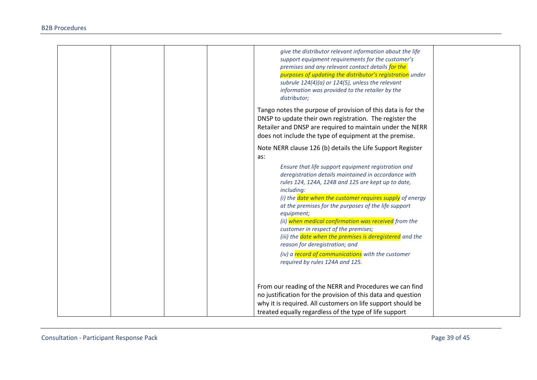| give the distributor relevant information about the life<br>support equipment requirements for the customer's<br>premises and any relevant contact details for the<br>purposes of updating the distributor's registration under<br>subrule $124(4)(a)$ or $124(5)$ , unless the relevant<br>information was provided to the retailer by the<br>distributor;                                                                                                                                                                                                                                                                                                                  |
|------------------------------------------------------------------------------------------------------------------------------------------------------------------------------------------------------------------------------------------------------------------------------------------------------------------------------------------------------------------------------------------------------------------------------------------------------------------------------------------------------------------------------------------------------------------------------------------------------------------------------------------------------------------------------|
| Tango notes the purpose of provision of this data is for the<br>DNSP to update their own registration. The register the<br>Retailer and DNSP are required to maintain under the NERR<br>does not include the type of equipment at the premise.                                                                                                                                                                                                                                                                                                                                                                                                                               |
| Note NERR clause 126 (b) details the Life Support Register<br>as:<br>Ensure that life support equipment registration and<br>deregistration details maintained in accordance with<br>rules 124, 124A, 124B and 125 are kept up to date,<br>including:<br>(i) the date when the customer requires supply of energy<br>at the premises for the purposes of the life support<br>equipment;<br>(ii) when medical confirmation was received from the<br>customer in respect of the premises;<br>(iii) the date when the premises is deregistered and the<br>reason for deregistration; and<br>(iv) a record of communications with the customer<br>required by rules 124A and 125. |
| From our reading of the NERR and Procedures we can find<br>no justification for the provision of this data and question<br>why it is required. All customers on life support should be<br>treated equally regardless of the type of life support                                                                                                                                                                                                                                                                                                                                                                                                                             |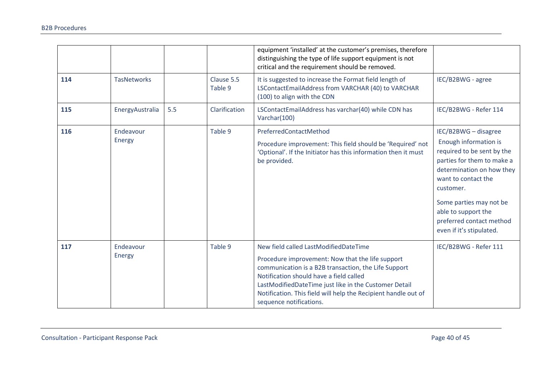|     |                     |     |                       | equipment 'installed' at the customer's premises, therefore<br>distinguishing the type of life support equipment is not<br>critical and the requirement should be removed.                                                                                                                                                                         |                                                                                                                                                                                                                                                              |
|-----|---------------------|-----|-----------------------|----------------------------------------------------------------------------------------------------------------------------------------------------------------------------------------------------------------------------------------------------------------------------------------------------------------------------------------------------|--------------------------------------------------------------------------------------------------------------------------------------------------------------------------------------------------------------------------------------------------------------|
| 114 | <b>TasNetworks</b>  |     | Clause 5.5<br>Table 9 | It is suggested to increase the Format field length of<br>LSContactEmailAddress from VARCHAR (40) to VARCHAR<br>(100) to align with the CDN                                                                                                                                                                                                        | IEC/B2BWG - agree                                                                                                                                                                                                                                            |
| 115 | EnergyAustralia     | 5.5 | Clarification         | LSContactEmailAddress has varchar(40) while CDN has<br>Varchar(100)                                                                                                                                                                                                                                                                                | IEC/B2BWG - Refer 114                                                                                                                                                                                                                                        |
| 116 | Endeavour           |     | Table 9               | PreferredContactMethod                                                                                                                                                                                                                                                                                                                             | IEC/B2BWG - disagree                                                                                                                                                                                                                                         |
|     | Energy              |     |                       | Procedure improvement: This field should be 'Required' not<br>'Optional'. If the Initiator has this information then it must<br>be provided.                                                                                                                                                                                                       | Enough information is<br>required to be sent by the<br>parties for them to make a<br>determination on how they<br>want to contact the<br>customer.<br>Some parties may not be<br>able to support the<br>preferred contact method<br>even if it's stipulated. |
| 117 | Endeavour<br>Energy |     | Table 9               | New field called LastModifiedDateTime<br>Procedure improvement: Now that the life support<br>communication is a B2B transaction, the Life Support<br>Notification should have a field called<br>LastModifiedDateTime just like in the Customer Detail<br>Notification. This field will help the Recipient handle out of<br>sequence notifications. | IEC/B2BWG - Refer 111                                                                                                                                                                                                                                        |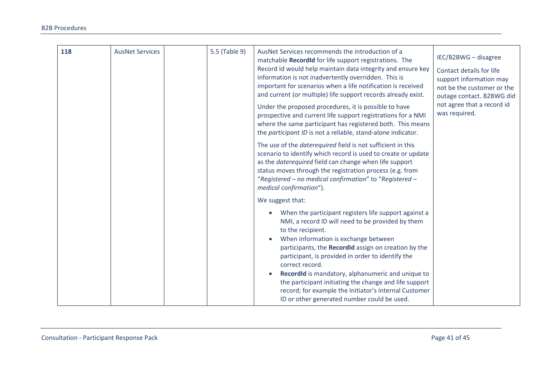| 118 | <b>AusNet Services</b> | 5.5 (Table 9) | AusNet Services recommends the introduction of a<br>matchable RecordId for life support registrations. The<br>Record Id would help maintain data integrity and ensure key<br>information is not inadvertently overridden. This is<br>important for scenarios when a life notification is received<br>and current (or multiple) life support records already exist.<br>Under the proposed procedures, it is possible to have<br>prospective and current life support registrations for a NMI<br>where the same participant has registered both. This means<br>the participant ID is not a reliable, stand-alone indicator. | IEC/B2BWG - disagree<br>Contact details for life<br>support information may<br>not be the customer or the<br>outage contact. B2BWG did<br>not agree that a record id<br>was required. |
|-----|------------------------|---------------|---------------------------------------------------------------------------------------------------------------------------------------------------------------------------------------------------------------------------------------------------------------------------------------------------------------------------------------------------------------------------------------------------------------------------------------------------------------------------------------------------------------------------------------------------------------------------------------------------------------------------|---------------------------------------------------------------------------------------------------------------------------------------------------------------------------------------|
|     |                        |               | The use of the <i>daterequired</i> field is not sufficient in this<br>scenario to identify which record is used to create or update<br>as the daterequired field can change when life support<br>status moves through the registration process (e.g. from<br>"Registered - no medical confirmation" to "Registered -<br>medical confirmation").                                                                                                                                                                                                                                                                           |                                                                                                                                                                                       |
|     |                        |               | We suggest that:<br>When the participant registers life support against a<br>NMI, a record ID will need to be provided by them<br>to the recipient.<br>When information is exchange between<br>participants, the RecordId assign on creation by the<br>participant, is provided in order to identify the<br>correct record.<br>RecordId is mandatory, alphanumeric and unique to<br>$\bullet$<br>the participant initiating the change and life support<br>record; for example the Initiator's internal Customer<br>ID or other generated number could be used.                                                           |                                                                                                                                                                                       |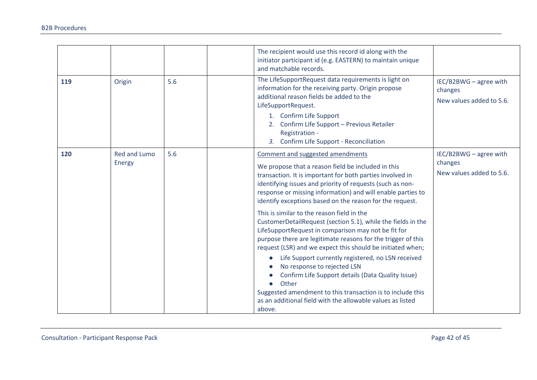|     |                               |     | The recipient would use this record id along with the<br>initiator participant id (e.g. EASTERN) to maintain unique<br>and matchable records.                                                                                                                                                                                                                                                                                                                                                                                                                                                                                                                                                                                                                                                                                                                                                                                           |                                                               |
|-----|-------------------------------|-----|-----------------------------------------------------------------------------------------------------------------------------------------------------------------------------------------------------------------------------------------------------------------------------------------------------------------------------------------------------------------------------------------------------------------------------------------------------------------------------------------------------------------------------------------------------------------------------------------------------------------------------------------------------------------------------------------------------------------------------------------------------------------------------------------------------------------------------------------------------------------------------------------------------------------------------------------|---------------------------------------------------------------|
| 119 | Origin                        | 5.6 | The LifeSupportRequest data requirements is light on<br>information for the receiving party. Origin propose<br>additional reason fields be added to the<br>LifeSupportRequest.<br>1. Confirm Life Support<br>2. Confirm Life Support - Previous Retailer<br>Registration -<br>3. Confirm Life Support - Reconciliation                                                                                                                                                                                                                                                                                                                                                                                                                                                                                                                                                                                                                  | IEC/B2BWG - agree with<br>changes<br>New values added to 5.6. |
| 120 | <b>Red and Lumo</b><br>Energy | 5.6 | Comment and suggested amendments<br>We propose that a reason field be included in this<br>transaction. It is important for both parties involved in<br>identifying issues and priority of requests (such as non-<br>response or missing information) and will enable parties to<br>identify exceptions based on the reason for the request.<br>This is similar to the reason field in the<br>CustomerDetailRequest (section 5.1), while the fields in the<br>LifeSupportRequest in comparison may not be fit for<br>purpose there are legitimate reasons for the trigger of this<br>request (LSR) and we expect this should be initiated when;<br>Life Support currently registered, no LSN received<br>No response to rejected LSN<br>Confirm Life Support details (Data Quality Issue)<br>Other<br>Suggested amendment to this transaction is to include this<br>as an additional field with the allowable values as listed<br>above. | IEC/B2BWG - agree with<br>changes<br>New values added to 5.6. |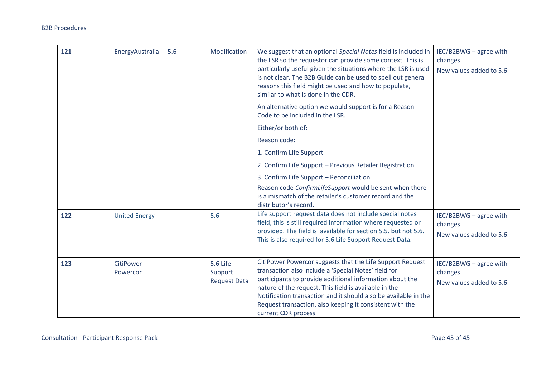| 121 | EnergyAustralia       | 5.6 | Modification                                      | We suggest that an optional Special Notes field is included in<br>the LSR so the requestor can provide some context. This is<br>particularly useful given the situations where the LSR is used<br>is not clear. The B2B Guide can be used to spell out general<br>reasons this field might be used and how to populate,<br>similar to what is done in the CDR.                                | IEC/B2BWG - agree with<br>changes<br>New values added to 5.6. |
|-----|-----------------------|-----|---------------------------------------------------|-----------------------------------------------------------------------------------------------------------------------------------------------------------------------------------------------------------------------------------------------------------------------------------------------------------------------------------------------------------------------------------------------|---------------------------------------------------------------|
|     |                       |     |                                                   | An alternative option we would support is for a Reason<br>Code to be included in the LSR.                                                                                                                                                                                                                                                                                                     |                                                               |
|     |                       |     |                                                   | Either/or both of:                                                                                                                                                                                                                                                                                                                                                                            |                                                               |
|     |                       |     |                                                   | Reason code:                                                                                                                                                                                                                                                                                                                                                                                  |                                                               |
|     |                       |     |                                                   | 1. Confirm Life Support                                                                                                                                                                                                                                                                                                                                                                       |                                                               |
|     |                       |     |                                                   | 2. Confirm Life Support - Previous Retailer Registration                                                                                                                                                                                                                                                                                                                                      |                                                               |
|     |                       |     |                                                   | 3. Confirm Life Support - Reconciliation                                                                                                                                                                                                                                                                                                                                                      |                                                               |
|     |                       |     |                                                   | Reason code ConfirmLifeSupport would be sent when there<br>is a mismatch of the retailer's customer record and the<br>distributor's record.                                                                                                                                                                                                                                                   |                                                               |
| 122 | <b>United Energy</b>  |     | 5.6                                               | Life support request data does not include special notes<br>field, this is still required information where requested or<br>provided. The field is available for section 5.5, but not 5.6.<br>This is also required for 5.6 Life Support Request Data.                                                                                                                                        | IEC/B2BWG - agree with<br>changes<br>New values added to 5.6. |
| 123 | CitiPower<br>Powercor |     | <b>5.6 Life</b><br>Support<br><b>Request Data</b> | CitiPower Powercor suggests that the Life Support Request<br>transaction also include a 'Special Notes' field for<br>participants to provide additional information about the<br>nature of the request. This field is available in the<br>Notification transaction and it should also be available in the<br>Request transaction, also keeping it consistent with the<br>current CDR process. | IEC/B2BWG - agree with<br>changes<br>New values added to 5.6. |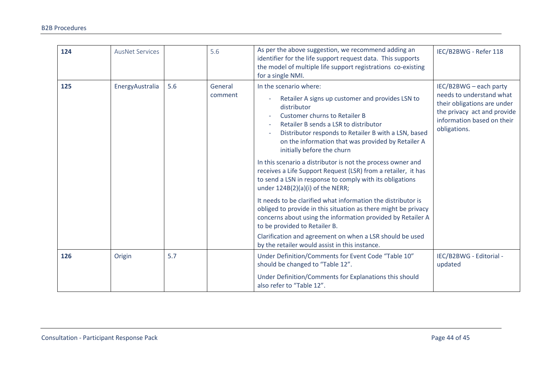| 124 | <b>AusNet Services</b> |     | 5.6                | As per the above suggestion, we recommend adding an<br>identifier for the life support request data. This supports<br>the model of multiple life support registrations co-existing<br>for a single NMI.                                                                                                                                                                                                                                                                                                                                                                                                                                                                                                                                                                                                                                              | IEC/B2BWG - Refer 118                                                                                                                                          |
|-----|------------------------|-----|--------------------|------------------------------------------------------------------------------------------------------------------------------------------------------------------------------------------------------------------------------------------------------------------------------------------------------------------------------------------------------------------------------------------------------------------------------------------------------------------------------------------------------------------------------------------------------------------------------------------------------------------------------------------------------------------------------------------------------------------------------------------------------------------------------------------------------------------------------------------------------|----------------------------------------------------------------------------------------------------------------------------------------------------------------|
| 125 | EnergyAustralia        | 5.6 | General<br>comment | In the scenario where:<br>Retailer A signs up customer and provides LSN to<br>distributor<br><b>Customer churns to Retailer B</b><br>Retailer B sends a LSR to distributor<br>Distributor responds to Retailer B with a LSN, based<br>on the information that was provided by Retailer A<br>initially before the churn<br>In this scenario a distributor is not the process owner and<br>receives a Life Support Request (LSR) from a retailer, it has<br>to send a LSN in response to comply with its obligations<br>under 124B(2)(a)(i) of the NERR;<br>It needs to be clarified what information the distributor is<br>obliged to provide in this situation as there might be privacy<br>concerns about using the information provided by Retailer A<br>to be provided to Retailer B.<br>Clarification and agreement on when a LSR should be used | IEC/B2BWG - each party<br>needs to understand what<br>their obligations are under<br>the privacy act and provide<br>information based on their<br>obligations. |
| 126 | Origin                 | 5.7 |                    | by the retailer would assist in this instance.<br>Under Definition/Comments for Event Code "Table 10"<br>should be changed to "Table 12".                                                                                                                                                                                                                                                                                                                                                                                                                                                                                                                                                                                                                                                                                                            | IEC/B2BWG - Editorial -<br>updated                                                                                                                             |
|     |                        |     |                    | Under Definition/Comments for Explanations this should<br>also refer to "Table 12".                                                                                                                                                                                                                                                                                                                                                                                                                                                                                                                                                                                                                                                                                                                                                                  |                                                                                                                                                                |